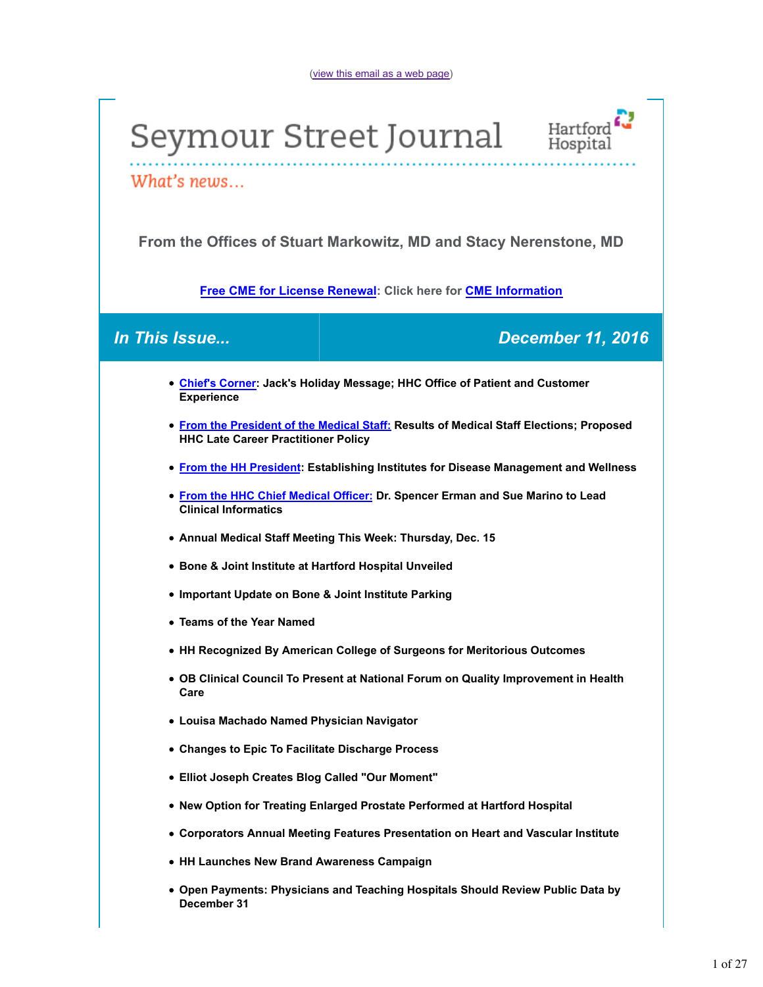# Seymour Street Journal



What's news...

**From the Offices of Stuart Markowitz, MD and Stacy Nerenstone, MD**

**Free CME for License Renewal: Click here for CME Information**

*In This Issue... December 11, 2016*

- **Chief's Corner: Jack's Holiday Message; HHC Office of Patient and Customer Experience**
- **From the President of the Medical Staff: Results of Medical Staff Elections; Proposed HHC Late Career Practitioner Policy**
- **From the HH President: Establishing Institutes for Disease Management and Wellness**
- **From the HHC Chief Medical Officer: Dr. Spencer Erman and Sue Marino to Lead Clinical Informatics**
- **Annual Medical Staff Meeting This Week: Thursday, Dec. 15**
- **Bone & Joint Institute at Hartford Hospital Unveiled**
- **Important Update on Bone & Joint Institute Parking**
- **Teams of the Year Named**
- **HH Recognized By American College of Surgeons for Meritorious Outcomes**
- **OB Clinical Council To Present at National Forum on Quality Improvement in Health Care**
- **Louisa Machado Named Physician Navigator**
- **Changes to Epic To Facilitate Discharge Process**
- **Elliot Joseph Creates Blog Called "Our Moment"**
- **New Option for Treating Enlarged Prostate Performed at Hartford Hospital**
- **Corporators Annual Meeting Features Presentation on Heart and Vascular Institute**
- **HH Launches New Brand Awareness Campaign**
- **Open Payments: Physicians and Teaching Hospitals Should Review Public Data by December 31**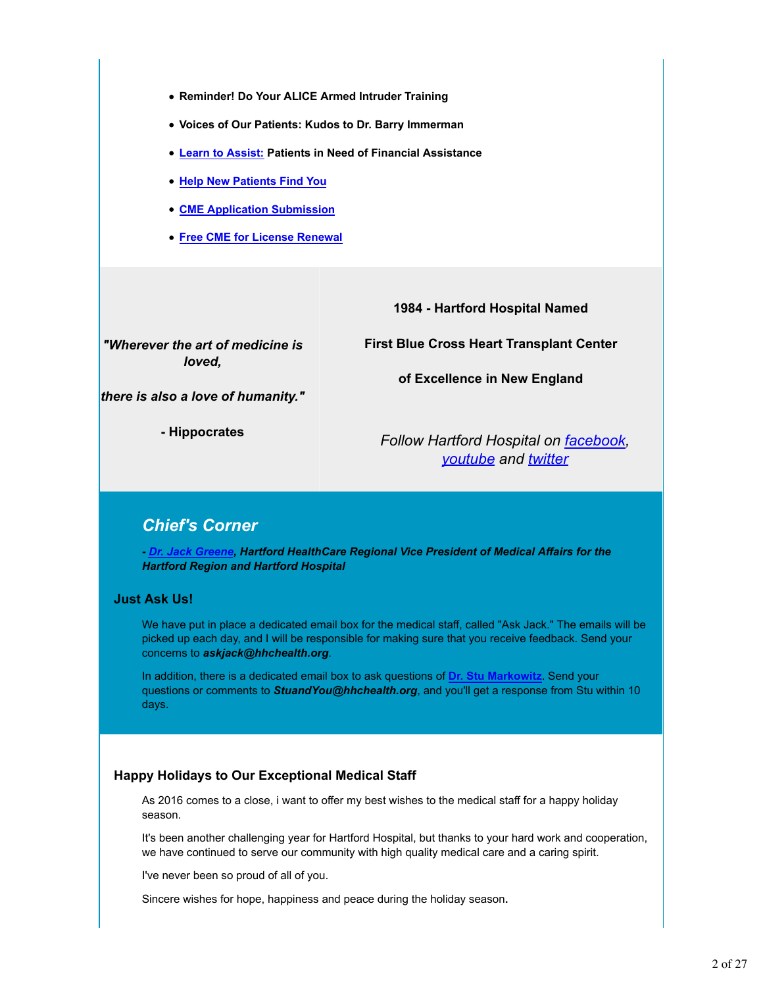- **Reminder! Do Your ALICE Armed Intruder Training**
- **Voices of Our Patients: Kudos to Dr. Barry Immerman**
- **Learn to Assist: Patients in Need of Financial Assistance**
- **Help New Patients Find You**
- **CME Application Submission**
- **Free CME for License Renewal**

**1984 - Hartford Hospital Named**

*"Wherever the art of medicine is loved,*

**First Blue Cross Heart Transplant Center**

**of Excellence in New England**

*there is also a love of humanity."*

**- Hippocrates**

*Follow Hartford Hospital on facebook, youtube and twitter*

### *Chief's Corner*

*- Dr. Jack Greene, Hartford HealthCare Regional Vice President of Medical Affairs for the Hartford Region and Hartford Hospital*

#### **Just Ask Us!**

We have put in place a dedicated email box for the medical staff, called "Ask Jack." The emails will be picked up each day, and I will be responsible for making sure that you receive feedback. Send your concerns to *askjack@hhchealth.org*.

In addition, there is a dedicated email box to ask questions of **Dr. Stu Markowitz**. Send your questions or comments to *StuandYou@hhchealth.org*, and you'll get a response from Stu within 10 days.

#### **Happy Holidays to Our Exceptional Medical Staff**

As 2016 comes to a close, i want to offer my best wishes to the medical staff for a happy holiday season.

It's been another challenging year for Hartford Hospital, but thanks to your hard work and cooperation, we have continued to serve our community with high quality medical care and a caring spirit.

I've never been so proud of all of you.

Sincere wishes for hope, happiness and peace during the holiday season**.**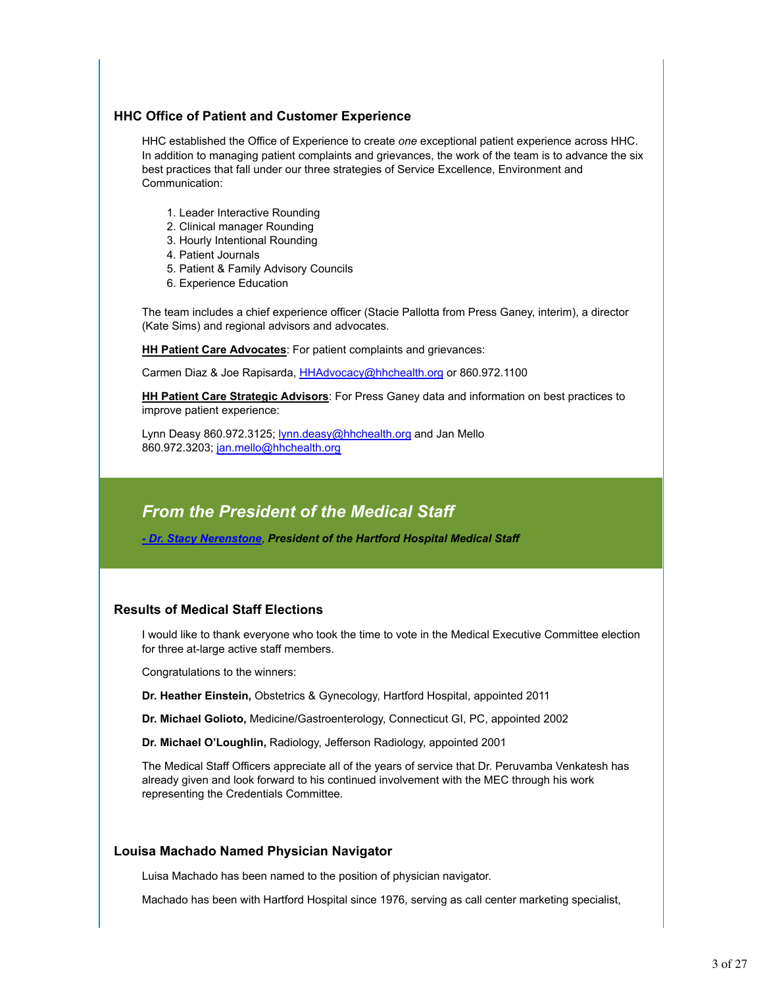#### **HHC Office of Patient and Customer Experience**

HHC established the Office of Experience to create *one* exceptional patient experience across HHC. In addition to managing patient complaints and grievances, the work of the team is to advance the six best practices that fall under our three strategies of Service Excellence, Environment and Communication:

- 1. Leader Interactive Rounding
- 2. Clinical manager Rounding
- 3. Hourly Intentional Rounding
- 4. Patient Journals
- 5. Patient & Family Advisory Councils
- 6. Experience Education

The team includes a chief experience officer (Stacie Pallotta from Press Ganey, interim), a director (Kate Sims) and regional advisors and advocates.

**HH Patient Care Advocates**: For patient complaints and grievances:

Carmen Diaz & Joe Rapisarda, HHAdvocacy@hhchealth.org or 860.972.1100

**HH Patient Care Strategic Advisors**: For Press Ganey data and information on best practices to improve patient experience:

Lynn Deasy 860.972.3125; lynn.deasy@hhchealth.org and Jan Mello 860.972.3203; jan.mello@hhchealth.org

# *From the President of the Medical Staff*

*- Dr. Stacy Nerenstone*, *President of the Hartford Hospital Medical Staff*

#### **Results of Medical Staff Elections**

I would like to thank everyone who took the time to vote in the Medical Executive Committee election for three at-large active staff members.

Congratulations to the winners:

**Dr. Heather Einstein,** Obstetrics & Gynecology, Hartford Hospital, appointed 2011

**Dr. Michael Golioto,** Medicine/Gastroenterology, Connecticut GI, PC, appointed 2002

**Dr. Michael O'Loughlin,** Radiology, Jefferson Radiology, appointed 2001

The Medical Staff Officers appreciate all of the years of service that Dr. Peruvamba Venkatesh has already given and look forward to his continued involvement with the MEC through his work representing the Credentials Committee.

#### **Louisa Machado Named Physician Navigator**

Luisa Machado has been named to the position of physician navigator.

Machado has been with Hartford Hospital since 1976, serving as call center marketing specialist,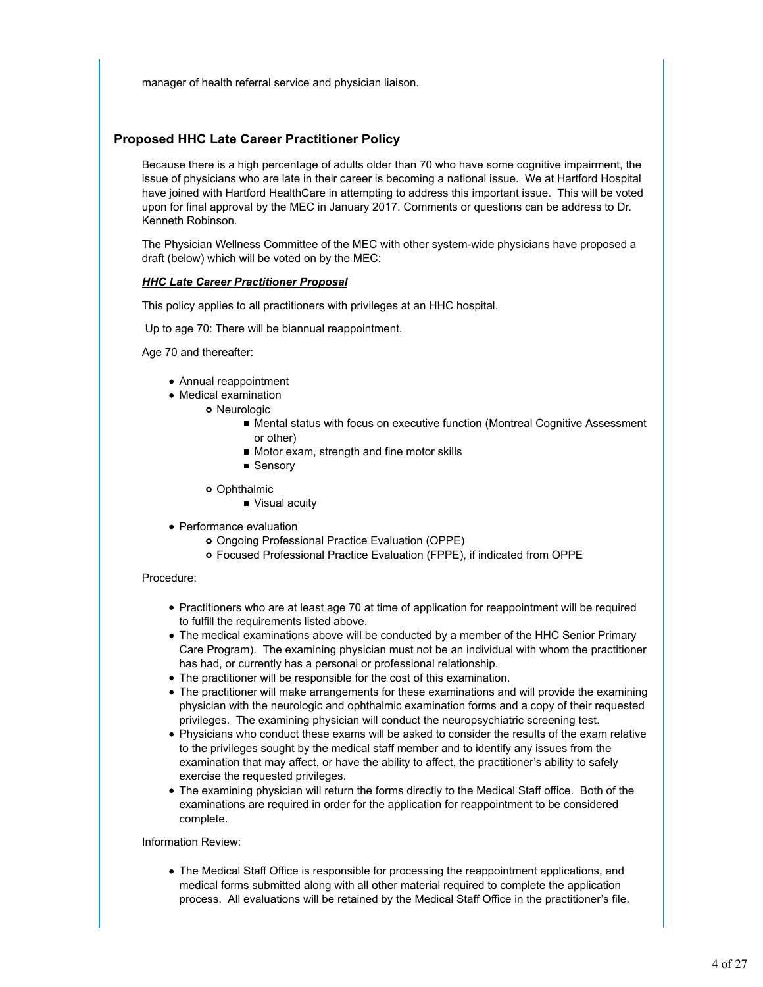manager of health referral service and physician liaison.

#### **Proposed HHC Late Career Practitioner Policy**

Because there is a high percentage of adults older than 70 who have some cognitive impairment, the issue of physicians who are late in their career is becoming a national issue. We at Hartford Hospital have joined with Hartford HealthCare in attempting to address this important issue. This will be voted upon for final approval by the MEC in January 2017. Comments or questions can be address to Dr. Kenneth Robinson.

The Physician Wellness Committee of the MEC with other system-wide physicians have proposed a draft (below) which will be voted on by the MEC:

#### *HHC Late Career Practitioner Proposal*

This policy applies to all practitioners with privileges at an HHC hospital.

Up to age 70: There will be biannual reappointment.

Age 70 and thereafter:

- Annual reappointment
- Medical examination
	- o Neurologic
		- Mental status with focus on executive function (Montreal Cognitive Assessment or other)
		- Motor exam, strength and fine motor skills
		- Sensory
		- Ophthalmic
			- **Visual acuity**
- Performance evaluation
	- Ongoing Professional Practice Evaluation (OPPE)
	- Focused Professional Practice Evaluation (FPPE), if indicated from OPPE

#### Procedure:

- Practitioners who are at least age 70 at time of application for reappointment will be required to fulfill the requirements listed above.
- The medical examinations above will be conducted by a member of the HHC Senior Primary Care Program). The examining physician must not be an individual with whom the practitioner has had, or currently has a personal or professional relationship.
- The practitioner will be responsible for the cost of this examination.
- The practitioner will make arrangements for these examinations and will provide the examining physician with the neurologic and ophthalmic examination forms and a copy of their requested privileges. The examining physician will conduct the neuropsychiatric screening test.
- Physicians who conduct these exams will be asked to consider the results of the exam relative to the privileges sought by the medical staff member and to identify any issues from the examination that may affect, or have the ability to affect, the practitioner's ability to safely exercise the requested privileges.
- The examining physician will return the forms directly to the Medical Staff office. Both of the examinations are required in order for the application for reappointment to be considered complete.

#### Information Review:

The Medical Staff Office is responsible for processing the reappointment applications, and medical forms submitted along with all other material required to complete the application process. All evaluations will be retained by the Medical Staff Office in the practitioner's file.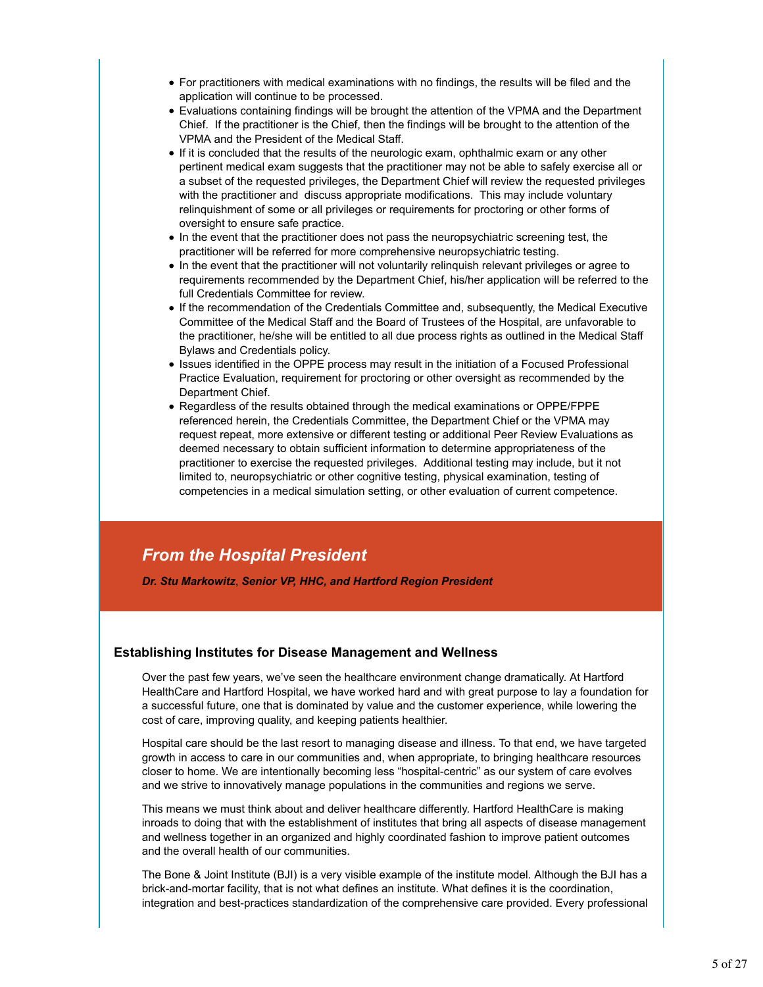- For practitioners with medical examinations with no findings, the results will be filed and the application will continue to be processed.
- Evaluations containing findings will be brought the attention of the VPMA and the Department Chief. If the practitioner is the Chief, then the findings will be brought to the attention of the VPMA and the President of the Medical Staff.
- If it is concluded that the results of the neurologic exam, ophthalmic exam or any other pertinent medical exam suggests that the practitioner may not be able to safely exercise all or a subset of the requested privileges, the Department Chief will review the requested privileges with the practitioner and discuss appropriate modifications. This may include voluntary relinquishment of some or all privileges or requirements for proctoring or other forms of oversight to ensure safe practice.
- In the event that the practitioner does not pass the neuropsychiatric screening test, the practitioner will be referred for more comprehensive neuropsychiatric testing.
- In the event that the practitioner will not voluntarily relinquish relevant privileges or agree to requirements recommended by the Department Chief, his/her application will be referred to the full Credentials Committee for review.
- If the recommendation of the Credentials Committee and, subsequently, the Medical Executive Committee of the Medical Staff and the Board of Trustees of the Hospital, are unfavorable to the practitioner, he/she will be entitled to all due process rights as outlined in the Medical Staff Bylaws and Credentials policy.
- Issues identified in the OPPE process may result in the initiation of a Focused Professional Practice Evaluation, requirement for proctoring or other oversight as recommended by the Department Chief.
- Regardless of the results obtained through the medical examinations or OPPE/FPPE referenced herein, the Credentials Committee, the Department Chief or the VPMA may request repeat, more extensive or different testing or additional Peer Review Evaluations as deemed necessary to obtain sufficient information to determine appropriateness of the practitioner to exercise the requested privileges. Additional testing may include, but it not limited to, neuropsychiatric or other cognitive testing, physical examination, testing of competencies in a medical simulation setting, or other evaluation of current competence.

# *From the Hospital President*

*Dr. Stu Markowitz*, *Senior VP, HHC, and Hartford Region President*

#### **Establishing Institutes for Disease Management and Wellness**

Over the past few years, we've seen the healthcare environment change dramatically. At Hartford HealthCare and Hartford Hospital, we have worked hard and with great purpose to lay a foundation for a successful future, one that is dominated by value and the customer experience, while lowering the cost of care, improving quality, and keeping patients healthier.

Hospital care should be the last resort to managing disease and illness. To that end, we have targeted growth in access to care in our communities and, when appropriate, to bringing healthcare resources closer to home. We are intentionally becoming less "hospital-centric" as our system of care evolves and we strive to innovatively manage populations in the communities and regions we serve.

This means we must think about and deliver healthcare differently. Hartford HealthCare is making inroads to doing that with the establishment of institutes that bring all aspects of disease management and wellness together in an organized and highly coordinated fashion to improve patient outcomes and the overall health of our communities.

The Bone & Joint Institute (BJI) is a very visible example of the institute model. Although the BJI has a brick-and-mortar facility, that is not what defines an institute. What defines it is the coordination, integration and best-practices standardization of the comprehensive care provided. Every professional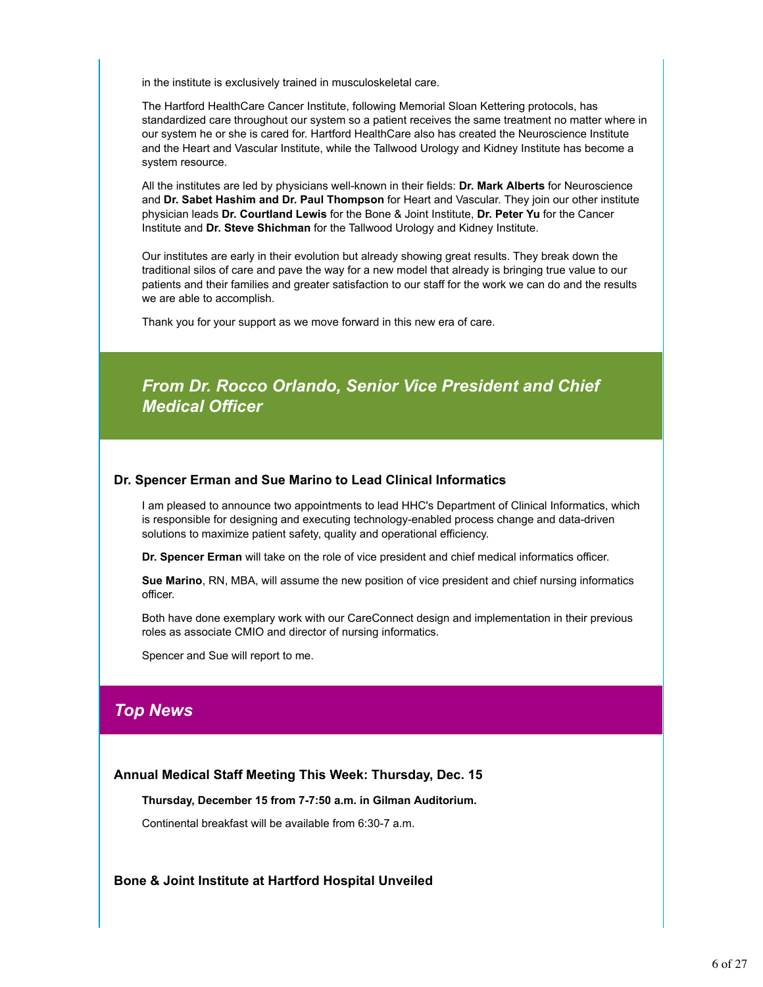in the institute is exclusively trained in musculoskeletal care.

The Hartford HealthCare Cancer Institute, following Memorial Sloan Kettering protocols, has standardized care throughout our system so a patient receives the same treatment no matter where in our system he or she is cared for. Hartford HealthCare also has created the Neuroscience Institute and the Heart and Vascular Institute, while the Tallwood Urology and Kidney Institute has become a system resource.

All the institutes are led by physicians well-known in their fields: **Dr. Mark Alberts** for Neuroscience and **Dr. Sabet Hashim and Dr. Paul Thompson** for Heart and Vascular. They join our other institute physician leads **Dr. Courtland Lewis** for the Bone & Joint Institute, **Dr. Peter Yu** for the Cancer Institute and **Dr. Steve Shichman** for the Tallwood Urology and Kidney Institute.

Our institutes are early in their evolution but already showing great results. They break down the traditional silos of care and pave the way for a new model that already is bringing true value to our patients and their families and greater satisfaction to our staff for the work we can do and the results we are able to accomplish.

Thank you for your support as we move forward in this new era of care.

# *From Dr. Rocco Orlando, Senior Vice President and Chief Medical Officer*

#### **Dr. Spencer Erman and Sue Marino to Lead Clinical Informatics**

I am pleased to announce two appointments to lead HHC's Department of Clinical Informatics, which is responsible for designing and executing technology-enabled process change and data-driven solutions to maximize patient safety, quality and operational efficiency.

**Dr. Spencer Erman** will take on the role of vice president and chief medical informatics officer.

**Sue Marino**, RN, MBA, will assume the new position of vice president and chief nursing informatics officer.

Both have done exemplary work with our CareConnect design and implementation in their previous roles as associate CMIO and director of nursing informatics.

Spencer and Sue will report to me.

# *Top News*

#### **Annual Medical Staff Meeting This Week: Thursday, Dec. 15**

**Thursday, December 15 from 7-7:50 a.m. in Gilman Auditorium.**

Continental breakfast will be available from 6:30-7 a.m.

**Bone & Joint Institute at Hartford Hospital Unveiled**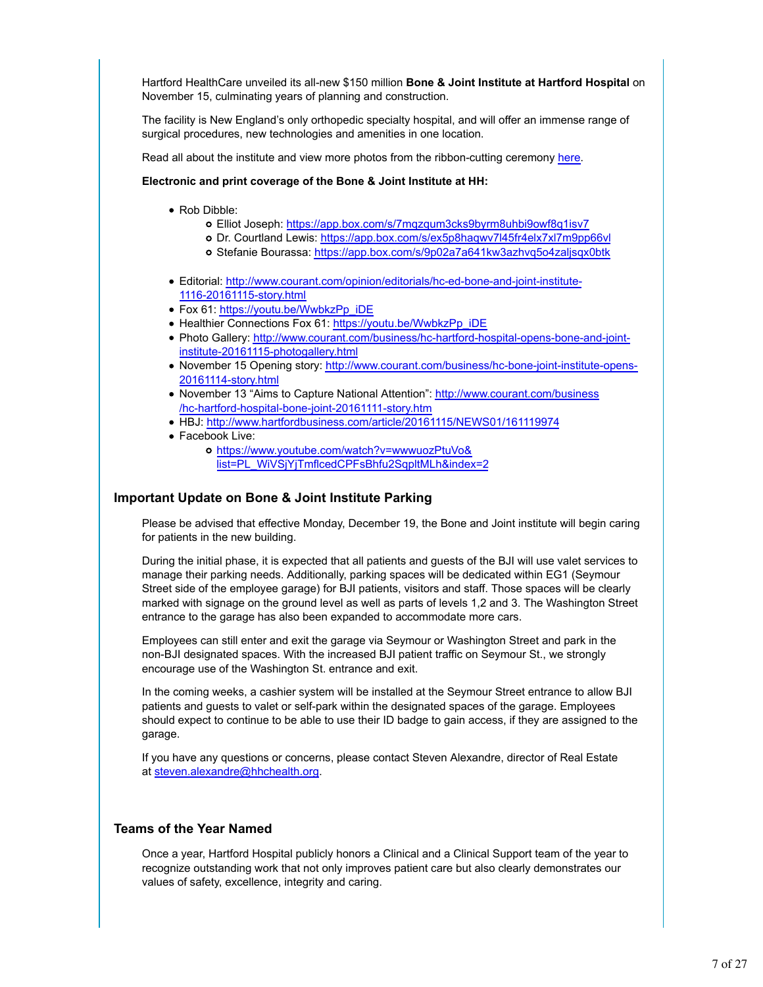Hartford HealthCare unveiled its all-new \$150 million **Bone & Joint Institute at Hartford Hospital** on November 15, culminating years of planning and construction.

The facility is New England's only orthopedic specialty hospital, and will offer an immense range of surgical procedures, new technologies and amenities in one location.

Read all about the institute and view more photos from the ribbon-cutting ceremony here.

#### **Electronic and print coverage of the Bone & Joint Institute at HH:**

- Rob Dibble:
	- Elliot Joseph: https://app.box.com/s/7mqzqum3cks9byrm8uhbi9owf8q1isv7
	- o Dr. Courtland Lewis: https://app.box.com/s/ex5p8haqwv7l45fr4elx7xl7m9pp66vl
	- Stefanie Bourassa: https://app.box.com/s/9p02a7a641kw3azhvq5o4zaljsqx0btk
- Editorial: http://www.courant.com/opinion/editorials/hc-ed-bone-and-joint-institute-1116-20161115-story.html
- Fox 61: https://youtu.be/WwbkzPp\_iDE
- Healthier Connections Fox 61: https://youtu.be/WwbkzPp\_iDE
- Photo Gallery: http://www.courant.com/business/hc-hartford-hospital-opens-bone-and-jointinstitute-20161115-photogallery.html
- November 15 Opening story: http://www.courant.com/business/hc-bone-joint-institute-opens-20161114-story.html
- November 13 "Aims to Capture National Attention": http://www.courant.com/business /hc-hartford-hospital-bone-joint-20161111-story.htm
- HBJ: http://www.hartfordbusiness.com/article/20161115/NEWS01/161119974
- Facebook Live:
	- https://www.youtube.com/watch?v=wwwuozPtuVo& list=PL\_WiVSjYjTmflcedCPFsBhfu2SqpltMLh&index=2

#### **Important Update on Bone & Joint Institute Parking**

Please be advised that effective Monday, December 19, the Bone and Joint institute will begin caring for patients in the new building.

During the initial phase, it is expected that all patients and guests of the BJI will use valet services to manage their parking needs. Additionally, parking spaces will be dedicated within EG1 (Seymour Street side of the employee garage) for BJI patients, visitors and staff. Those spaces will be clearly marked with signage on the ground level as well as parts of levels 1,2 and 3. The Washington Street entrance to the garage has also been expanded to accommodate more cars.

Employees can still enter and exit the garage via Seymour or Washington Street and park in the non-BJI designated spaces. With the increased BJI patient traffic on Seymour St., we strongly encourage use of the Washington St. entrance and exit.

In the coming weeks, a cashier system will be installed at the Seymour Street entrance to allow BJI patients and guests to valet or self-park within the designated spaces of the garage. Employees should expect to continue to be able to use their ID badge to gain access, if they are assigned to the garage.

If you have any questions or concerns, please contact Steven Alexandre, director of Real Estate at steven.alexandre@hhchealth.org.

#### **Teams of the Year Named**

Once a year, Hartford Hospital publicly honors a Clinical and a Clinical Support team of the year to recognize outstanding work that not only improves patient care but also clearly demonstrates our values of safety, excellence, integrity and caring.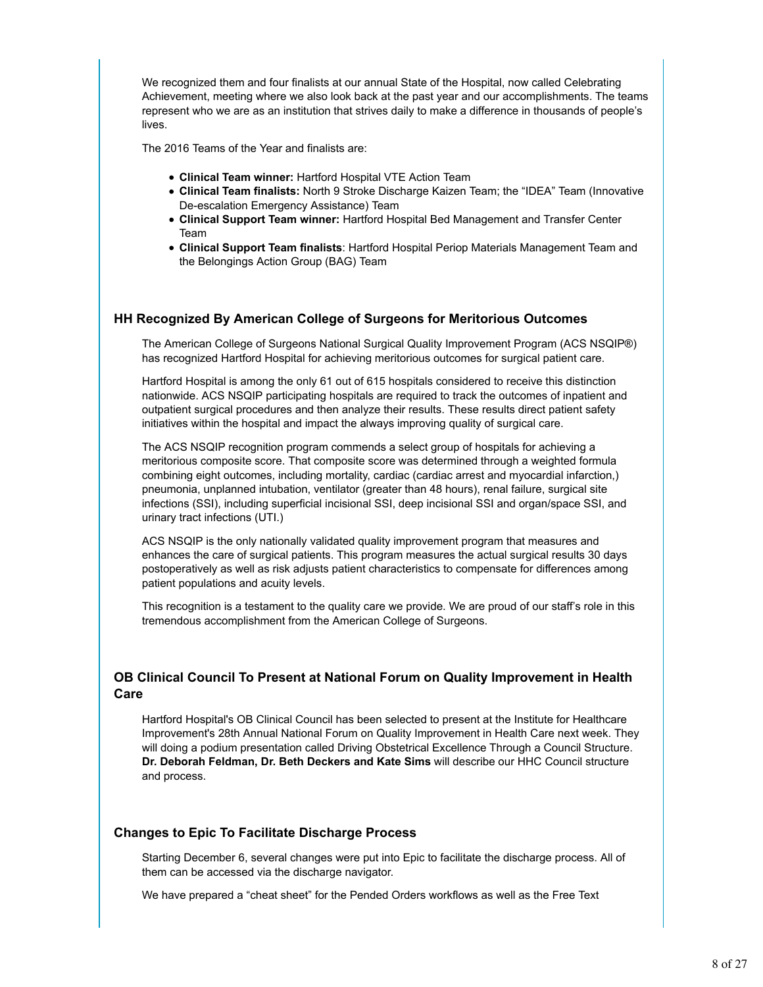We recognized them and four finalists at our annual State of the Hospital, now called Celebrating Achievement, meeting where we also look back at the past year and our accomplishments. The teams represent who we are as an institution that strives daily to make a difference in thousands of people's lives.

The 2016 Teams of the Year and finalists are:

- **Clinical Team winner:** Hartford Hospital VTE Action Team
- **Clinical Team finalists:** North 9 Stroke Discharge Kaizen Team; the "IDEA" Team (Innovative De-escalation Emergency Assistance) Team
- **Clinical Support Team winner:** Hartford Hospital Bed Management and Transfer Center Team
- **Clinical Support Team finalists**: Hartford Hospital Periop Materials Management Team and the Belongings Action Group (BAG) Team

#### **HH Recognized By American College of Surgeons for Meritorious Outcomes**

The American College of Surgeons National Surgical Quality Improvement Program (ACS NSQIP®) has recognized Hartford Hospital for achieving meritorious outcomes for surgical patient care.

Hartford Hospital is among the only 61 out of 615 hospitals considered to receive this distinction nationwide. ACS NSQIP participating hospitals are required to track the outcomes of inpatient and outpatient surgical procedures and then analyze their results. These results direct patient safety initiatives within the hospital and impact the always improving quality of surgical care.

The ACS NSQIP recognition program commends a select group of hospitals for achieving a meritorious composite score. That composite score was determined through a weighted formula combining eight outcomes, including mortality, cardiac (cardiac arrest and myocardial infarction,) pneumonia, unplanned intubation, ventilator (greater than 48 hours), renal failure, surgical site infections (SSI), including superficial incisional SSI, deep incisional SSI and organ/space SSI, and urinary tract infections (UTI.)

ACS NSQIP is the only nationally validated quality improvement program that measures and enhances the care of surgical patients. This program measures the actual surgical results 30 days postoperatively as well as risk adjusts patient characteristics to compensate for differences among patient populations and acuity levels.

This recognition is a testament to the quality care we provide. We are proud of our staff's role in this tremendous accomplishment from the American College of Surgeons.

#### **OB Clinical Council To Present at National Forum on Quality Improvement in Health Care**

Hartford Hospital's OB Clinical Council has been selected to present at the Institute for Healthcare Improvement's 28th Annual National Forum on Quality Improvement in Health Care next week. They will doing a podium presentation called Driving Obstetrical Excellence Through a Council Structure. **Dr. Deborah Feldman, Dr. Beth Deckers and Kate Sims** will describe our HHC Council structure and process.

#### **Changes to Epic To Facilitate Discharge Process**

Starting December 6, several changes were put into Epic to facilitate the discharge process. All of them can be accessed via the discharge navigator.

We have prepared a "cheat sheet" for the Pended Orders workflows as well as the Free Text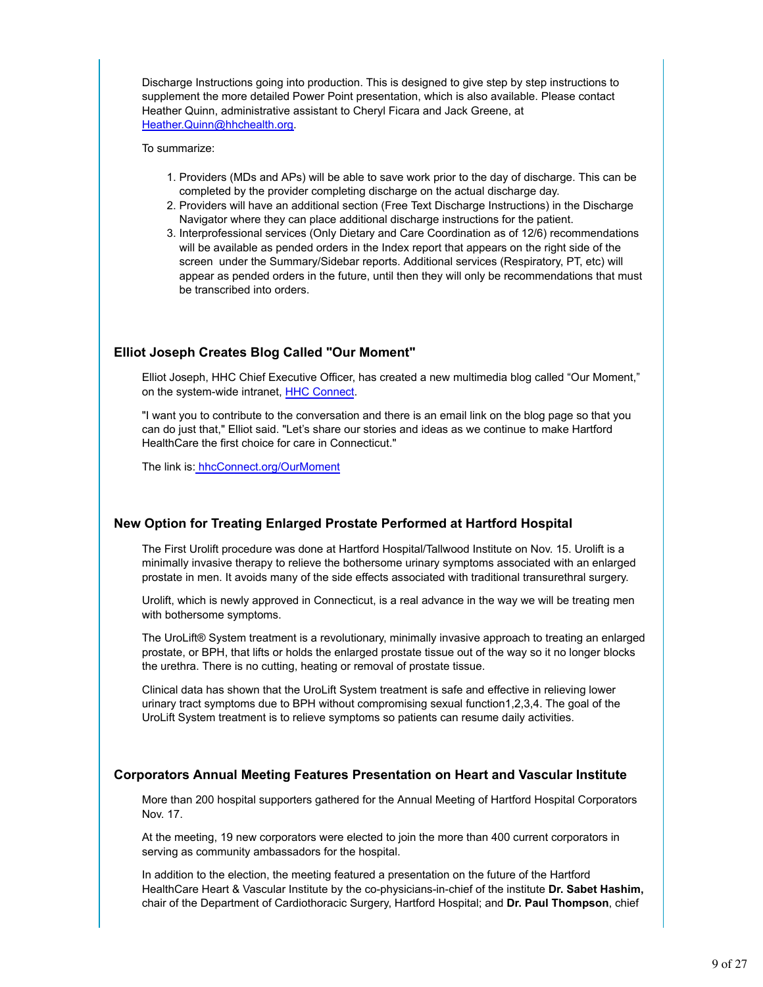Discharge Instructions going into production. This is designed to give step by step instructions to supplement the more detailed Power Point presentation, which is also available. Please contact Heather Quinn, administrative assistant to Cheryl Ficara and Jack Greene, at Heather.Quinn@hhchealth.org.

To summarize:

- 1. Providers (MDs and APs) will be able to save work prior to the day of discharge. This can be completed by the provider completing discharge on the actual discharge day.
- 2. Providers will have an additional section (Free Text Discharge Instructions) in the Discharge Navigator where they can place additional discharge instructions for the patient.
- 3. Interprofessional services (Only Dietary and Care Coordination as of 12/6) recommendations will be available as pended orders in the Index report that appears on the right side of the screen under the Summary/Sidebar reports. Additional services (Respiratory, PT, etc) will appear as pended orders in the future, until then they will only be recommendations that must be transcribed into orders.

#### **Elliot Joseph Creates Blog Called "Our Moment"**

Elliot Joseph, HHC Chief Executive Officer, has created a new multimedia blog called "Our Moment," on the system-wide intranet, HHC Connect.

"I want you to contribute to the conversation and there is an email link on the blog page so that you can do just that," Elliot said. "Let's share our stories and ideas as we continue to make Hartford HealthCare the first choice for care in Connecticut."

The link is: hhcConnect.org/OurMoment

#### **New Option for Treating Enlarged Prostate Performed at Hartford Hospital**

The First Urolift procedure was done at Hartford Hospital/Tallwood Institute on Nov. 15. Urolift is a minimally invasive therapy to relieve the bothersome urinary symptoms associated with an enlarged prostate in men. It avoids many of the side effects associated with traditional transurethral surgery.

Urolift, which is newly approved in Connecticut, is a real advance in the way we will be treating men with bothersome symptoms.

The UroLift® System treatment is a revolutionary, minimally invasive approach to treating an enlarged prostate, or BPH, that lifts or holds the enlarged prostate tissue out of the way so it no longer blocks the urethra. There is no cutting, heating or removal of prostate tissue.

Clinical data has shown that the UroLift System treatment is safe and effective in relieving lower urinary tract symptoms due to BPH without compromising sexual function1,2,3,4. The goal of the UroLift System treatment is to relieve symptoms so patients can resume daily activities.

#### **Corporators Annual Meeting Features Presentation on Heart and Vascular Institute**

More than 200 hospital supporters gathered for the Annual Meeting of Hartford Hospital Corporators Nov. 17.

At the meeting, 19 new corporators were elected to join the more than 400 current corporators in serving as community ambassadors for the hospital.

In addition to the election, the meeting featured a presentation on the future of the Hartford HealthCare Heart & Vascular Institute by the co-physicians-in-chief of the institute **Dr. Sabet Hashim,** chair of the Department of Cardiothoracic Surgery, Hartford Hospital; and **Dr. Paul Thompson**, chief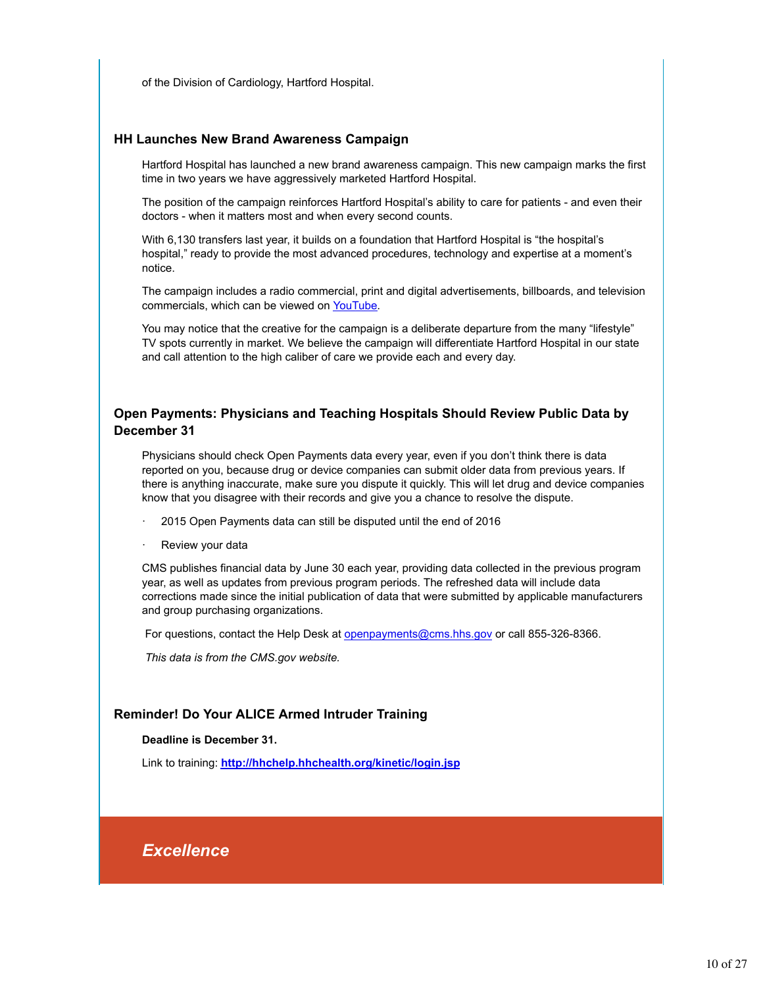of the Division of Cardiology, Hartford Hospital.

#### **HH Launches New Brand Awareness Campaign**

Hartford Hospital has launched a new brand awareness campaign. This new campaign marks the first time in two years we have aggressively marketed Hartford Hospital.

The position of the campaign reinforces Hartford Hospital's ability to care for patients - and even their doctors - when it matters most and when every second counts.

With 6,130 transfers last year, it builds on a foundation that Hartford Hospital is "the hospital's hospital," ready to provide the most advanced procedures, technology and expertise at a moment's notice.

The campaign includes a radio commercial, print and digital advertisements, billboards, and television commercials, which can be viewed on YouTube.

You may notice that the creative for the campaign is a deliberate departure from the many "lifestyle" TV spots currently in market. We believe the campaign will differentiate Hartford Hospital in our state and call attention to the high caliber of care we provide each and every day.

#### **Open Payments: Physicians and Teaching Hospitals Should Review Public Data by December 31**

Physicians should check Open Payments data every year, even if you don't think there is data reported on you, because drug or device companies can submit older data from previous years. If there is anything inaccurate, make sure you dispute it quickly. This will let drug and device companies know that you disagree with their records and give you a chance to resolve the dispute.

- · 2015 Open Payments data can still be disputed until the end of 2016
- Review your data

CMS publishes financial data by June 30 each year, providing data collected in the previous program year, as well as updates from previous program periods. The refreshed data will include data corrections made since the initial publication of data that were submitted by applicable manufacturers and group purchasing organizations.

For questions, contact the Help Desk at openpayments@cms.hhs.gov or call 855-326-8366.

 *This data is from the CMS.gov website.*

#### **Reminder! Do Your ALICE Armed Intruder Training**

#### **Deadline is December 31.**

Link to training: **http://hhchelp.hhchealth.org/kinetic/login.jsp**

*Excellence*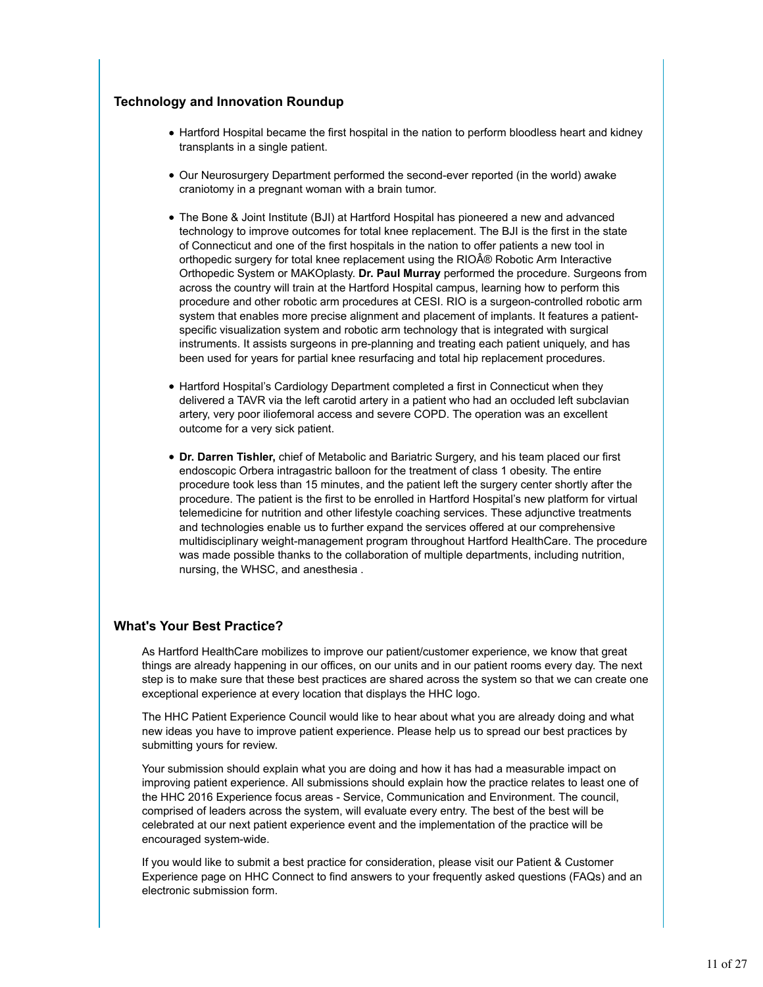#### **Technology and Innovation Roundup**

- Hartford Hospital became the first hospital in the nation to perform bloodless heart and kidney transplants in a single patient.
- Our Neurosurgery Department performed the second-ever reported (in the world) awake craniotomy in a pregnant woman with a brain tumor.
- The Bone & Joint Institute (BJI) at Hartford Hospital has pioneered a new and advanced technology to improve outcomes for total knee replacement. The BJI is the first in the state of Connecticut and one of the first hospitals in the nation to offer patients a new tool in orthopedic surgery for total knee replacement using the RIO® Robotic Arm Interactive Orthopedic System or MAKOplasty. **Dr. Paul Murray** performed the procedure. Surgeons from across the country will train at the Hartford Hospital campus, learning how to perform this procedure and other robotic arm procedures at CESI. RIO is a surgeon-controlled robotic arm system that enables more precise alignment and placement of implants. It features a patientspecific visualization system and robotic arm technology that is integrated with surgical instruments. It assists surgeons in pre-planning and treating each patient uniquely, and has been used for years for partial knee resurfacing and total hip replacement procedures.
- Hartford Hospital's Cardiology Department completed a first in Connecticut when they delivered a TAVR via the left carotid artery in a patient who had an occluded left subclavian artery, very poor iliofemoral access and severe COPD. The operation was an excellent outcome for a very sick patient.
- **Dr. Darren Tishler,** chief of Metabolic and Bariatric Surgery, and his team placed our first endoscopic Orbera intragastric balloon for the treatment of class 1 obesity. The entire procedure took less than 15 minutes, and the patient left the surgery center shortly after the procedure. The patient is the first to be enrolled in Hartford Hospital's new platform for virtual telemedicine for nutrition and other lifestyle coaching services. These adjunctive treatments and technologies enable us to further expand the services offered at our comprehensive multidisciplinary weight-management program throughout Hartford HealthCare. The procedure was made possible thanks to the collaboration of multiple departments, including nutrition, nursing, the WHSC, and anesthesia .

#### **What's Your Best Practice?**

As Hartford HealthCare mobilizes to improve our patient/customer experience, we know that great things are already happening in our offices, on our units and in our patient rooms every day. The next step is to make sure that these best practices are shared across the system so that we can create one exceptional experience at every location that displays the HHC logo.

The HHC Patient Experience Council would like to hear about what you are already doing and what new ideas you have to improve patient experience. Please help us to spread our best practices by submitting yours for review.

Your submission should explain what you are doing and how it has had a measurable impact on improving patient experience. All submissions should explain how the practice relates to least one of the HHC 2016 Experience focus areas - Service, Communication and Environment. The council, comprised of leaders across the system, will evaluate every entry. The best of the best will be celebrated at our next patient experience event and the implementation of the practice will be encouraged system-wide.

If you would like to submit a best practice for consideration, please visit our Patient & Customer Experience page on HHC Connect to find answers to your frequently asked questions (FAQs) and an electronic submission form.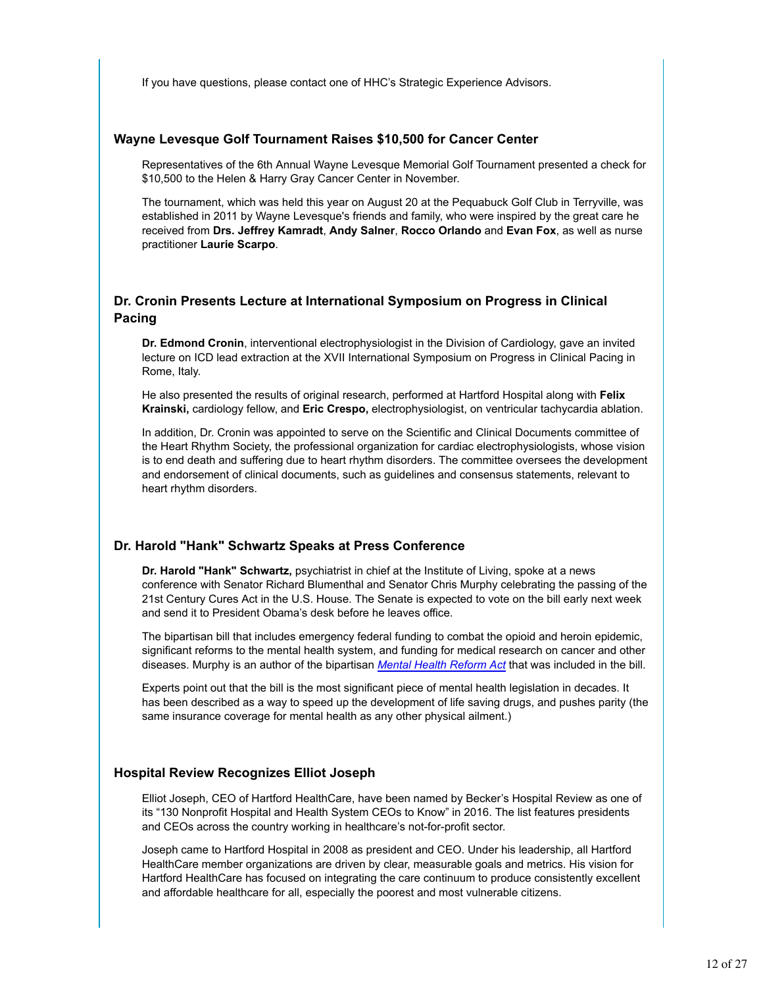If you have questions, please contact one of HHC's Strategic Experience Advisors.

#### **Wayne Levesque Golf Tournament Raises \$10,500 for Cancer Center**

Representatives of the 6th Annual Wayne Levesque Memorial Golf Tournament presented a check for \$10,500 to the Helen & Harry Gray Cancer Center in November.

The tournament, which was held this year on August 20 at the Pequabuck Golf Club in Terryville, was established in 2011 by Wayne Levesque's friends and family, who were inspired by the great care he received from **Drs. Jeffrey Kamradt**, **Andy Salner**, **Rocco Orlando** and **Evan Fox**, as well as nurse practitioner **Laurie Scarpo**.

#### **Dr. Cronin Presents Lecture at International Symposium on Progress in Clinical Pacing**

**Dr. Edmond Cronin**, interventional electrophysiologist in the Division of Cardiology, gave an invited lecture on ICD lead extraction at the XVII International Symposium on Progress in Clinical Pacing in Rome, Italy.

He also presented the results of original research, performed at Hartford Hospital along with **Felix Krainski,** cardiology fellow, and **Eric Crespo,** electrophysiologist, on ventricular tachycardia ablation.

In addition, Dr. Cronin was appointed to serve on the Scientific and Clinical Documents committee of the Heart Rhythm Society, the professional organization for cardiac electrophysiologists, whose vision is to end death and suffering due to heart rhythm disorders. The committee oversees the development and endorsement of clinical documents, such as guidelines and consensus statements, relevant to heart rhythm disorders.

#### **Dr. Harold "Hank" Schwartz Speaks at Press Conference**

**Dr. Harold "Hank" Schwartz,** psychiatrist in chief at the Institute of Living, spoke at a news conference with Senator Richard Blumenthal and Senator Chris Murphy celebrating the passing of the 21st Century Cures Act in the U.S. House. The Senate is expected to vote on the bill early next week and send it to President Obama's desk before he leaves office.

The bipartisan bill that includes emergency federal funding to combat the opioid and heroin epidemic, significant reforms to the mental health system, and funding for medical research on cancer and other diseases. Murphy is an author of the bipartisan *Mental Health Reform Act* that was included in the bill.

Experts point out that the bill is the most significant piece of mental health legislation in decades. It has been described as a way to speed up the development of life saving drugs, and pushes parity (the same insurance coverage for mental health as any other physical ailment.)

#### **Hospital Review Recognizes Elliot Joseph**

Elliot Joseph, CEO of Hartford HealthCare, have been named by Becker's Hospital Review as one of its "130 Nonprofit Hospital and Health System CEOs to Know" in 2016. The list features presidents and CEOs across the country working in healthcare's not-for-profit sector.

Joseph came to Hartford Hospital in 2008 as president and CEO. Under his leadership, all Hartford HealthCare member organizations are driven by clear, measurable goals and metrics. His vision for Hartford HealthCare has focused on integrating the care continuum to produce consistently excellent and affordable healthcare for all, especially the poorest and most vulnerable citizens.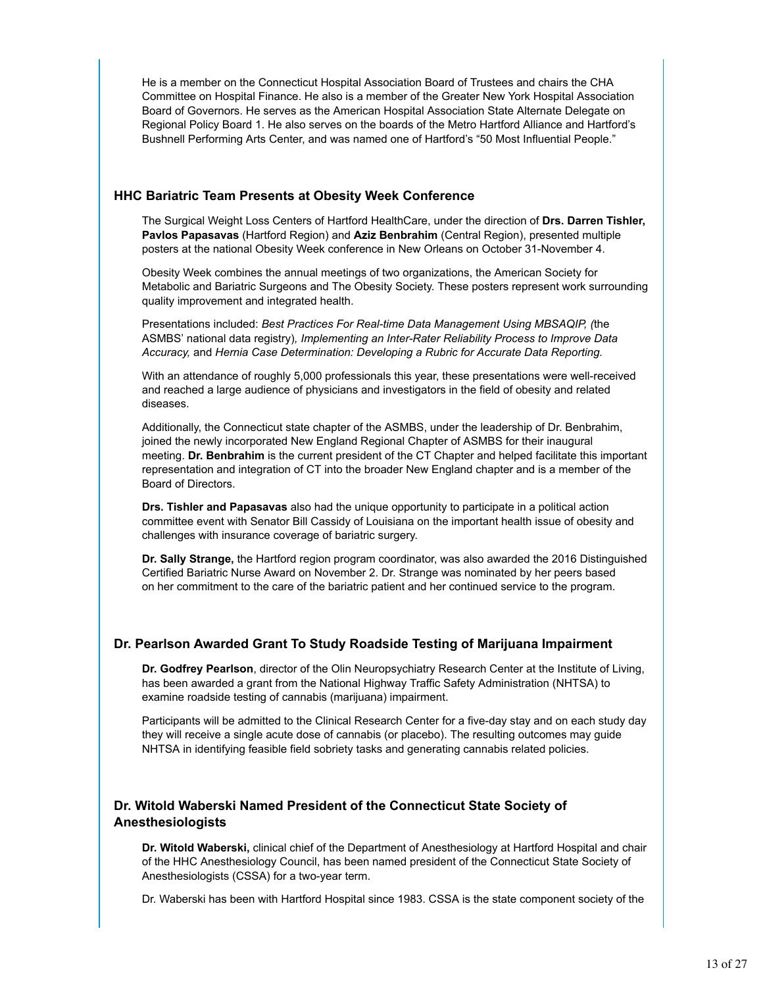He is a member on the Connecticut Hospital Association Board of Trustees and chairs the CHA Committee on Hospital Finance. He also is a member of the Greater New York Hospital Association Board of Governors. He serves as the American Hospital Association State Alternate Delegate on Regional Policy Board 1. He also serves on the boards of the Metro Hartford Alliance and Hartford's Bushnell Performing Arts Center, and was named one of Hartford's "50 Most Influential People."

#### **HHC Bariatric Team Presents at Obesity Week Conference**

The Surgical Weight Loss Centers of Hartford HealthCare, under the direction of **Drs. Darren Tishler, Pavlos Papasavas** (Hartford Region) and **Aziz Benbrahim** (Central Region), presented multiple posters at the national Obesity Week conference in New Orleans on October 31-November 4.

Obesity Week combines the annual meetings of two organizations, the American Society for Metabolic and Bariatric Surgeons and The Obesity Society. These posters represent work surrounding quality improvement and integrated health.

Presentations included: *Best Practices For Real-time Data Management Using MBSAQIP, (*the ASMBS' national data registry)*, Implementing an Inter-Rater Reliability Process to Improve Data Accuracy,* and *Hernia Case Determination: Developing a Rubric for Accurate Data Reporting.*

With an attendance of roughly 5,000 professionals this year, these presentations were well-received and reached a large audience of physicians and investigators in the field of obesity and related diseases.

Additionally, the Connecticut state chapter of the ASMBS, under the leadership of Dr. Benbrahim, joined the newly incorporated New England Regional Chapter of ASMBS for their inaugural meeting. **Dr. Benbrahim** is the current president of the CT Chapter and helped facilitate this important representation and integration of CT into the broader New England chapter and is a member of the Board of Directors.

**Drs. Tishler and Papasavas** also had the unique opportunity to participate in a political action committee event with Senator Bill Cassidy of Louisiana on the important health issue of obesity and challenges with insurance coverage of bariatric surgery.

**Dr. Sally Strange,** the Hartford region program coordinator, was also awarded the 2016 Distinguished Certified Bariatric Nurse Award on November 2. Dr. Strange was nominated by her peers based on her commitment to the care of the bariatric patient and her continued service to the program.

#### **Dr. Pearlson Awarded Grant To Study Roadside Testing of Marijuana Impairment**

**Dr. Godfrey Pearlson**, director of the Olin Neuropsychiatry Research Center at the Institute of Living, has been awarded a grant from the National Highway Traffic Safety Administration (NHTSA) to examine roadside testing of cannabis (marijuana) impairment.

Participants will be admitted to the Clinical Research Center for a five-day stay and on each study day they will receive a single acute dose of cannabis (or placebo). The resulting outcomes may guide NHTSA in identifying feasible field sobriety tasks and generating cannabis related policies.

#### **Dr. Witold Waberski Named President of the Connecticut State Society of Anesthesiologists**

**Dr. Witold Waberski,** clinical chief of the Department of Anesthesiology at Hartford Hospital and chair of the HHC Anesthesiology Council, has been named president of the Connecticut State Society of Anesthesiologists (CSSA) for a two-year term.

Dr. Waberski has been with Hartford Hospital since 1983. CSSA is the state component society of the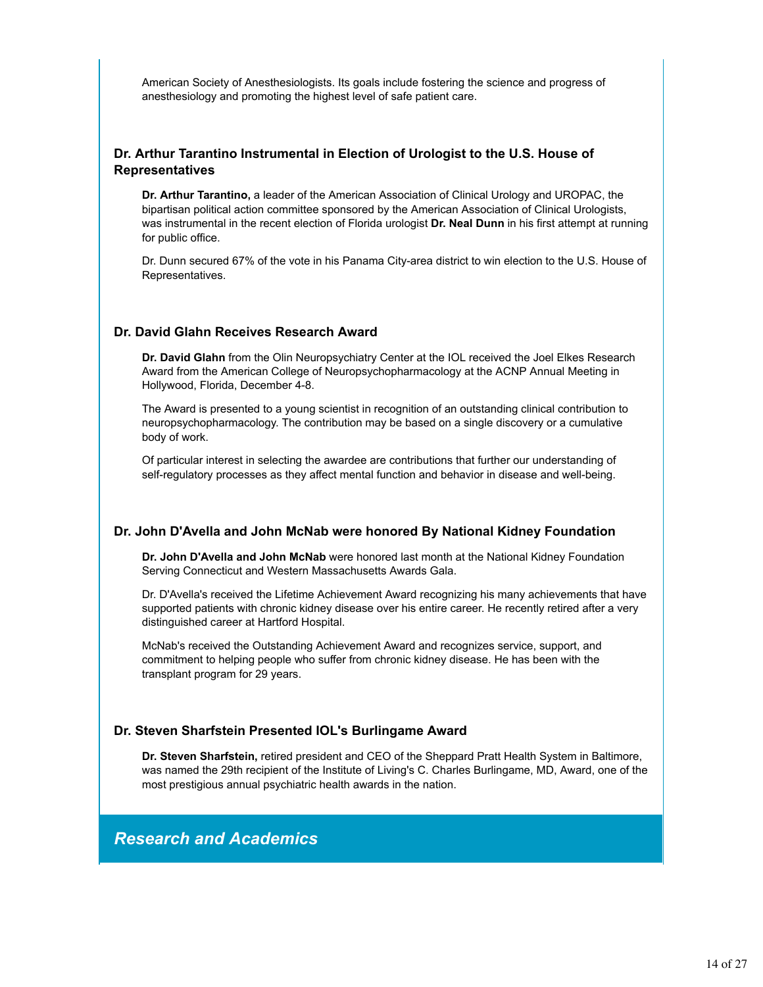American Society of Anesthesiologists. Its goals include fostering the science and progress of anesthesiology and promoting the highest level of safe patient care.

#### **Dr. Arthur Tarantino Instrumental in Election of Urologist to the U.S. House of Representatives**

**Dr. Arthur Tarantino,** a leader of the American Association of Clinical Urology and UROPAC, the bipartisan political action committee sponsored by the American Association of Clinical Urologists, was instrumental in the recent election of Florida urologist **Dr. Neal Dunn** in his first attempt at running for public office.

Dr. Dunn secured 67% of the vote in his Panama City-area district to win election to the U.S. House of Representatives.

#### **Dr. David Glahn Receives Research Award**

**Dr. David Glahn** from the Olin Neuropsychiatry Center at the IOL received the Joel Elkes Research Award from the American College of Neuropsychopharmacology at the ACNP Annual Meeting in Hollywood, Florida, December 4-8.

The Award is presented to a young scientist in recognition of an outstanding clinical contribution to neuropsychopharmacology. The contribution may be based on a single discovery or a cumulative body of work.

Of particular interest in selecting the awardee are contributions that further our understanding of self-regulatory processes as they affect mental function and behavior in disease and well-being.

#### **Dr. John D'Avella and John McNab were honored By National Kidney Foundation**

**Dr. John D'Avella and John McNab** were honored last month at the National Kidney Foundation Serving Connecticut and Western Massachusetts Awards Gala.

Dr. D'Avella's received the Lifetime Achievement Award recognizing his many achievements that have supported patients with chronic kidney disease over his entire career. He recently retired after a very distinguished career at Hartford Hospital.

McNab's received the Outstanding Achievement Award and recognizes service, support, and commitment to helping people who suffer from chronic kidney disease. He has been with the transplant program for 29 years.

#### **Dr. Steven Sharfstein Presented IOL's Burlingame Award**

**Dr. Steven Sharfstein,** retired president and CEO of the Sheppard Pratt Health System in Baltimore, was named the 29th recipient of the Institute of Living's C. Charles Burlingame, MD, Award, one of the most prestigious annual psychiatric health awards in the nation.

# *Research and Academics*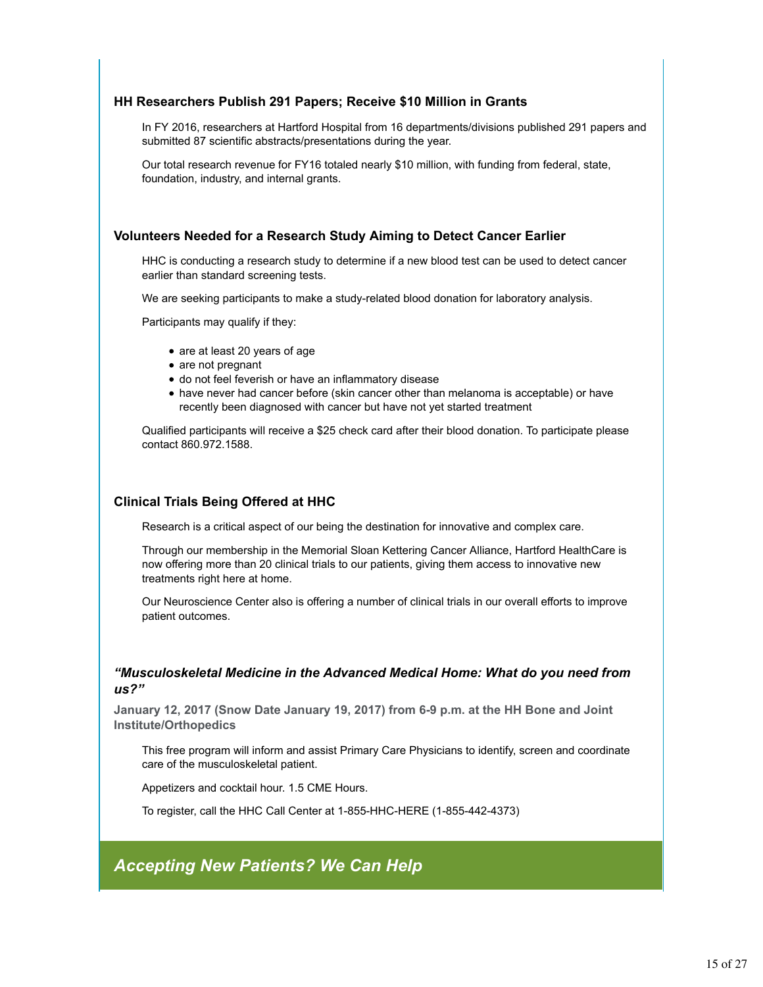#### **HH Researchers Publish 291 Papers; Receive \$10 Million in Grants**

In FY 2016, researchers at Hartford Hospital from 16 departments/divisions published 291 papers and submitted 87 scientific abstracts/presentations during the year.

Our total research revenue for FY16 totaled nearly \$10 million, with funding from federal, state, foundation, industry, and internal grants.

#### **Volunteers Needed for a Research Study Aiming to Detect Cancer Earlier**

HHC is conducting a research study to determine if a new blood test can be used to detect cancer earlier than standard screening tests.

We are seeking participants to make a study-related blood donation for laboratory analysis.

Participants may qualify if they:

- are at least 20 years of age
- are not pregnant
- do not feel feverish or have an inflammatory disease
- have never had cancer before (skin cancer other than melanoma is acceptable) or have recently been diagnosed with cancer but have not yet started treatment

Qualified participants will receive a \$25 check card after their blood donation. To participate please contact 860.972.1588.

#### **Clinical Trials Being Offered at HHC**

Research is a critical aspect of our being the destination for innovative and complex care.

Through our membership in the Memorial Sloan Kettering Cancer Alliance, Hartford HealthCare is now offering more than 20 clinical trials to our patients, giving them access to innovative new treatments right here at home.

Our Neuroscience Center also is offering a number of clinical trials in our overall efforts to improve patient outcomes.

#### *"Musculoskeletal Medicine in the Advanced Medical Home: What do you need from us?"*

**January 12, 2017 (Snow Date January 19, 2017) from 6-9 p.m. at the HH Bone and Joint Institute/Orthopedics**

This free program will inform and assist Primary Care Physicians to identify, screen and coordinate care of the musculoskeletal patient.

Appetizers and cocktail hour. 1.5 CME Hours.

To register, call the HHC Call Center at 1-855-HHC-HERE (1-855-442-4373)

# *Accepting New Patients? We Can Help*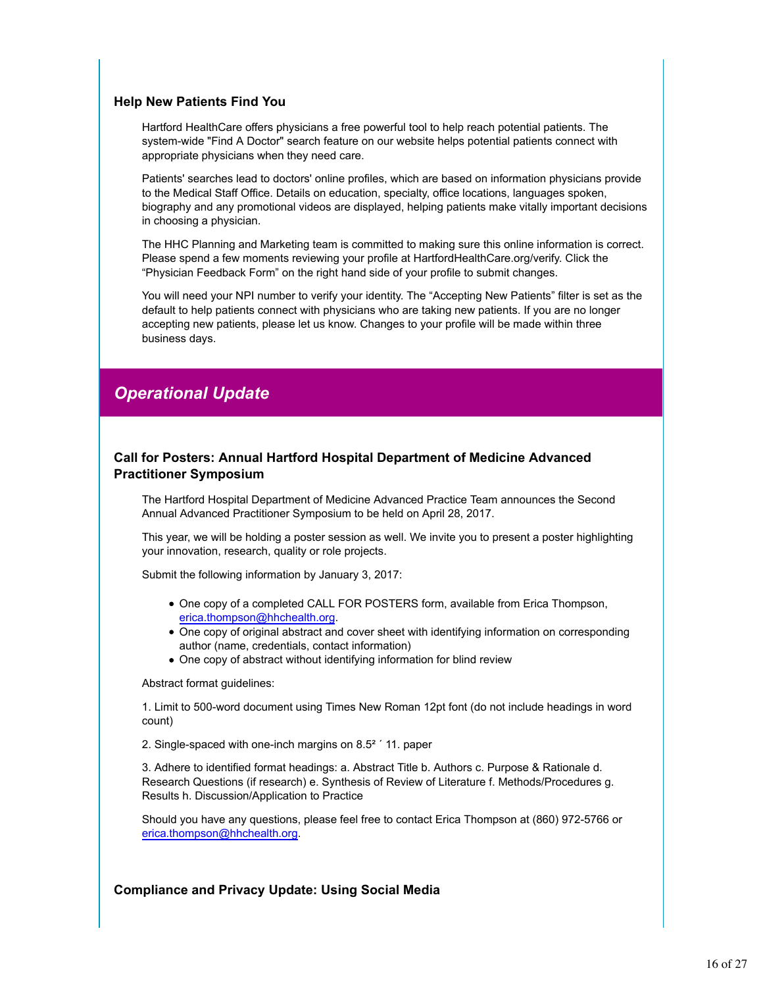#### **Help New Patients Find You**

Hartford HealthCare offers physicians a free powerful tool to help reach potential patients. The system-wide "Find A Doctor" search feature on our website helps potential patients connect with appropriate physicians when they need care.

Patients' searches lead to doctors' online profiles, which are based on information physicians provide to the Medical Staff Office. Details on education, specialty, office locations, languages spoken, biography and any promotional videos are displayed, helping patients make vitally important decisions in choosing a physician.

The HHC Planning and Marketing team is committed to making sure this online information is correct. Please spend a few moments reviewing your profile at HartfordHealthCare.org/verify. Click the "Physician Feedback Form" on the right hand side of your profile to submit changes.

You will need your NPI number to verify your identity. The "Accepting New Patients" filter is set as the default to help patients connect with physicians who are taking new patients. If you are no longer accepting new patients, please let us know. Changes to your profile will be made within three business days.

# *Operational Update*

#### **Call for Posters: Annual Hartford Hospital Department of Medicine Advanced Practitioner Symposium**

The Hartford Hospital Department of Medicine Advanced Practice Team announces the Second Annual Advanced Practitioner Symposium to be held on April 28, 2017.

This year, we will be holding a poster session as well. We invite you to present a poster highlighting your innovation, research, quality or role projects.

Submit the following information by January 3, 2017:

- One copy of a completed CALL FOR POSTERS form, available from Erica Thompson, erica.thompson@hhchealth.org.
- One copy of original abstract and cover sheet with identifying information on corresponding author (name, credentials, contact information)
- One copy of abstract without identifying information for blind review

Abstract format guidelines:

1. Limit to 500-word document using Times New Roman 12pt font (do not include headings in word count)

2. Single-spaced with one-inch margins on 8.5² ´ 11. paper

3. Adhere to identified format headings: a. Abstract Title b. Authors c. Purpose & Rationale d. Research Questions (if research) e. Synthesis of Review of Literature f. Methods/Procedures g. Results h. Discussion/Application to Practice

Should you have any questions, please feel free to contact Erica Thompson at (860) 972-5766 or erica.thompson@hhchealth.org.

#### **Compliance and Privacy Update: Using Social Media**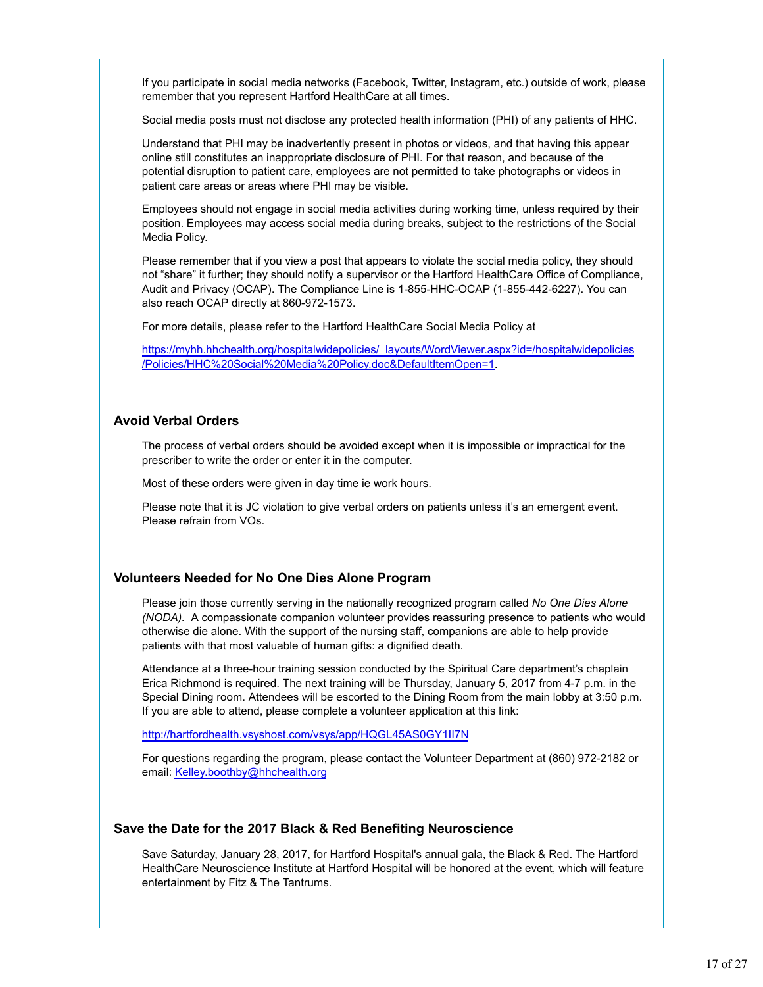If you participate in social media networks (Facebook, Twitter, Instagram, etc.) outside of work, please remember that you represent Hartford HealthCare at all times.

Social media posts must not disclose any protected health information (PHI) of any patients of HHC.

Understand that PHI may be inadvertently present in photos or videos, and that having this appear online still constitutes an inappropriate disclosure of PHI. For that reason, and because of the potential disruption to patient care, employees are not permitted to take photographs or videos in patient care areas or areas where PHI may be visible.

Employees should not engage in social media activities during working time, unless required by their position. Employees may access social media during breaks, subject to the restrictions of the Social Media Policy.

Please remember that if you view a post that appears to violate the social media policy, they should not "share" it further; they should notify a supervisor or the Hartford HealthCare Office of Compliance, Audit and Privacy (OCAP). The Compliance Line is 1-855-HHC-OCAP (1-855-442-6227). You can also reach OCAP directly at 860-972-1573.

For more details, please refer to the Hartford HealthCare Social Media Policy at

https://myhh.hhchealth.org/hospitalwidepolicies/\_layouts/WordViewer.aspx?id=/hospitalwidepolicies /Policies/HHC%20Social%20Media%20Policy.doc&DefaultItemOpen=1.

#### **Avoid Verbal Orders**

The process of verbal orders should be avoided except when it is impossible or impractical for the prescriber to write the order or enter it in the computer.

Most of these orders were given in day time ie work hours.

Please note that it is JC violation to give verbal orders on patients unless it's an emergent event. Please refrain from VOs.

#### **Volunteers Needed for No One Dies Alone Program**

Please join those currently serving in the nationally recognized program called *No One Dies Alone (NODA).* A compassionate companion volunteer provides reassuring presence to patients who would otherwise die alone. With the support of the nursing staff, companions are able to help provide patients with that most valuable of human gifts: a dignified death.

Attendance at a three-hour training session conducted by the Spiritual Care department's chaplain Erica Richmond is required. The next training will be Thursday, January 5, 2017 from 4-7 p.m. in the Special Dining room. Attendees will be escorted to the Dining Room from the main lobby at 3:50 p.m. If you are able to attend, please complete a volunteer application at this link:

http://hartfordhealth.vsyshost.com/vsys/app/HQGL45AS0GY1II7N

For questions regarding the program, please contact the Volunteer Department at (860) 972-2182 or email: Kelley.boothby@hhchealth.org

#### **Save the Date for the 2017 Black & Red Benefiting Neuroscience**

Save Saturday, January 28, 2017, for Hartford Hospital's annual gala, the Black & Red. The Hartford HealthCare Neuroscience Institute at Hartford Hospital will be honored at the event, which will feature entertainment by Fitz & The Tantrums.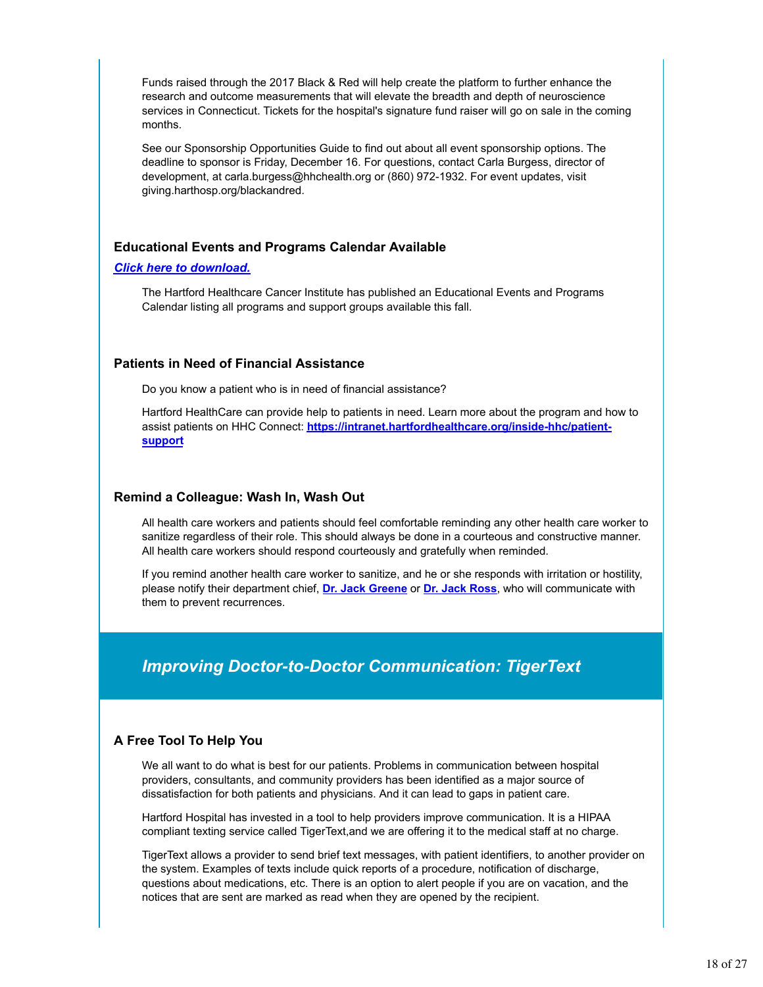Funds raised through the 2017 Black & Red will help create the platform to further enhance the research and outcome measurements that will elevate the breadth and depth of neuroscience services in Connecticut. Tickets for the hospital's signature fund raiser will go on sale in the coming months.

See our Sponsorship Opportunities Guide to find out about all event sponsorship options. The deadline to sponsor is Friday, December 16. For questions, contact Carla Burgess, director of development, at carla.burgess@hhchealth.org or (860) 972-1932. For event updates, visit giving.harthosp.org/blackandred.

#### **Educational Events and Programs Calendar Available**

#### *Click here to download.*

The Hartford Healthcare Cancer Institute has published an Educational Events and Programs Calendar listing all programs and support groups available this fall.

#### **Patients in Need of Financial Assistance**

Do you know a patient who is in need of financial assistance?

Hartford HealthCare can provide help to patients in need. Learn more about the program and how to assist patients on HHC Connect: **https://intranet.hartfordhealthcare.org/inside-hhc/patientsupport**

#### **Remind a Colleague: Wash In, Wash Out**

All health care workers and patients should feel comfortable reminding any other health care worker to sanitize regardless of their role. This should always be done in a courteous and constructive manner. All health care workers should respond courteously and gratefully when reminded.

If you remind another health care worker to sanitize, and he or she responds with irritation or hostility, please notify their department chief, **Dr. Jack Greene** or **Dr. Jack Ross**, who will communicate with them to prevent recurrences.

# *Improving Doctor-to-Doctor Communication: TigerText*

#### **A Free Tool To Help You**

We all want to do what is best for our patients. Problems in communication between hospital providers, consultants, and community providers has been identified as a major source of dissatisfaction for both patients and physicians. And it can lead to gaps in patient care.

Hartford Hospital has invested in a tool to help providers improve communication. It is a HIPAA compliant texting service called TigerText,and we are offering it to the medical staff at no charge.

TigerText allows a provider to send brief text messages, with patient identifiers, to another provider on the system. Examples of texts include quick reports of a procedure, notification of discharge, questions about medications, etc. There is an option to alert people if you are on vacation, and the notices that are sent are marked as read when they are opened by the recipient.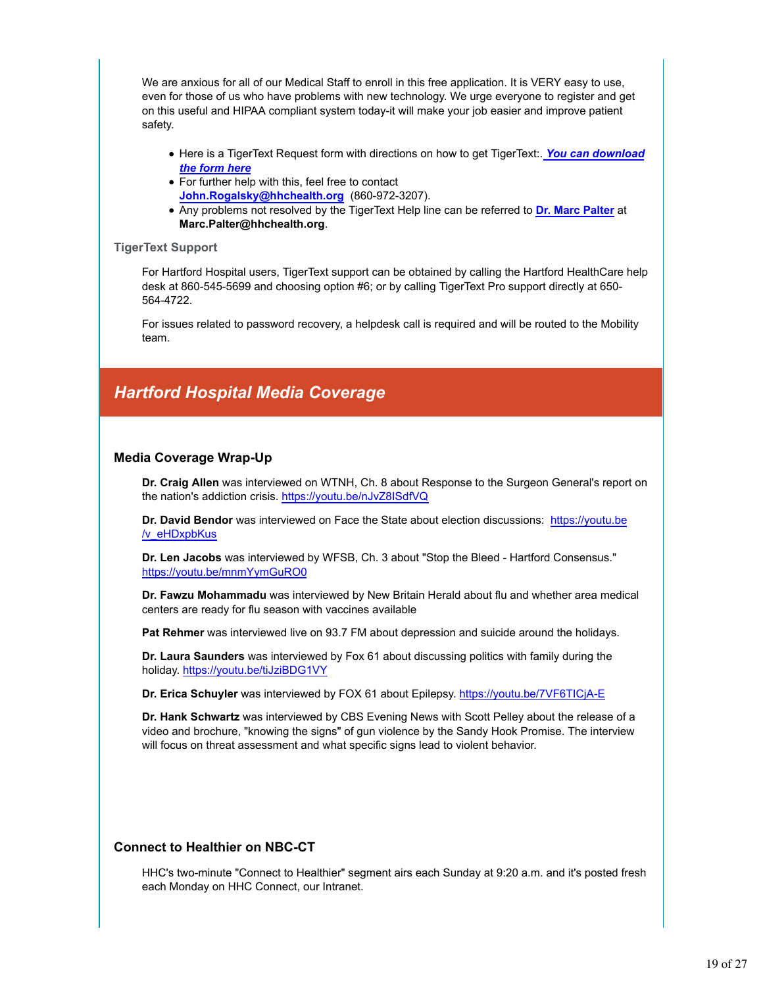We are anxious for all of our Medical Staff to enroll in this free application. It is VERY easy to use, even for those of us who have problems with new technology. We urge everyone to register and get on this useful and HIPAA compliant system today-it will make your job easier and improve patient safety.

- **Here is a TigerText Request form with directions on how to get TigerText:. You can download** *the form here*
- For further help with this, feel free to contact **John.Rogalsky@hhchealth.org** (860-972-3207).
- Any problems not resolved by the TigerText Help line can be referred to **Dr. Marc Palter** at **Marc.Palter@hhchealth.org**.

#### **TigerText Support**

For Hartford Hospital users, TigerText support can be obtained by calling the Hartford HealthCare help desk at 860-545-5699 and choosing option #6; or by calling TigerText Pro support directly at 650- 564-4722.

For issues related to password recovery, a helpdesk call is required and will be routed to the Mobility team.

# *Hartford Hospital Media Coverage*

#### **Media Coverage Wrap-Up**

**Dr. Craig Allen** was interviewed on WTNH, Ch. 8 about Response to the Surgeon General's report on the nation's addiction crisis. https://youtu.be/nJvZ8ISdfVQ

**Dr. David Bendor** was interviewed on Face the State about election discussions: https://youtu.be /v\_eHDxpbKus

**Dr. Len Jacobs** was interviewed by WFSB, Ch. 3 about "Stop the Bleed - Hartford Consensus." https://youtu.be/mnmYymGuRO0

**Dr. Fawzu Mohammadu** was interviewed by New Britain Herald about flu and whether area medical centers are ready for flu season with vaccines available

**Pat Rehmer** was interviewed live on 93.7 FM about depression and suicide around the holidays.

**Dr. Laura Saunders** was interviewed by Fox 61 about discussing politics with family during the holiday. https://youtu.be/tiJziBDG1VY

**Dr. Erica Schuyler** was interviewed by FOX 61 about Epilepsy. https://youtu.be/7VF6TICjA-E

**Dr. Hank Schwartz** was interviewed by CBS Evening News with Scott Pelley about the release of a video and brochure, "knowing the signs" of gun violence by the Sandy Hook Promise. The interview will focus on threat assessment and what specific signs lead to violent behavior.

#### **Connect to Healthier on NBC-CT**

HHC's two-minute "Connect to Healthier" segment airs each Sunday at 9:20 a.m. and it's posted fresh each Monday on HHC Connect, our Intranet.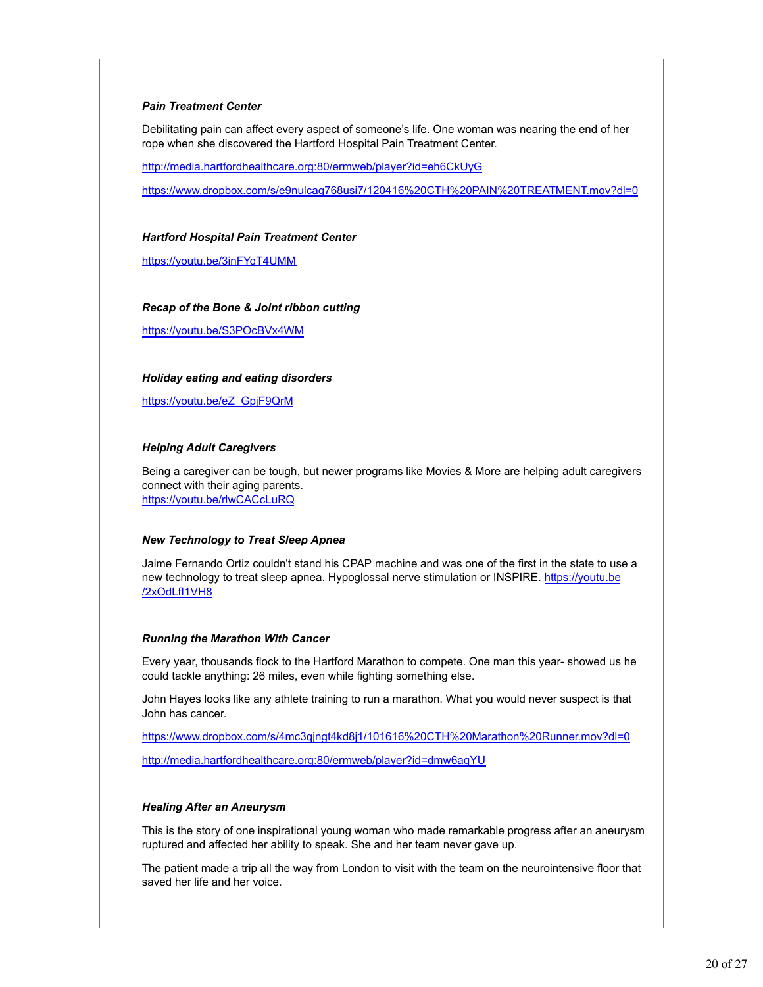#### *Pain Treatment Center*

Debilitating pain can affect every aspect of someone's life. One woman was nearing the end of her rope when she discovered the Hartford Hospital Pain Treatment Center.

http://media.hartfordhealthcare.org:80/ermweb/player?id=eh6CkUyG

https://www.dropbox.com/s/e9nulcag768usi7/120416%20CTH%20PAIN%20TREATMENT.mov?dl=0

#### *Hartford Hospital Pain Treatment Center*

https://youtu.be/3inFYqT4UMM

#### *Recap of the Bone & Joint ribbon cutting*

https://youtu.be/S3POcBVx4WM

#### *Holiday eating and eating disorders*

https://youtu.be/eZ\_GpjF9QrM

#### *Helping Adult Caregivers*

Being a caregiver can be tough, but newer programs like Movies & More are helping adult caregivers connect with their aging parents. https://youtu.be/rlwCACcLuRQ

#### *New Technology to Treat Sleep Apnea*

Jaime Fernando Ortiz couldn't stand his CPAP machine and was one of the first in the state to use a new technology to treat sleep apnea. Hypoglossal nerve stimulation or INSPIRE. https://youtu.be /2xOdLfI1VH8

#### *Running the Marathon With Cancer*

Every year, thousands flock to the Hartford Marathon to compete. One man this year- showed us he could tackle anything: 26 miles, even while fighting something else.

John Hayes looks like any athlete training to run a marathon. What you would never suspect is that John has cancer.

https://www.dropbox.com/s/4mc3qjngt4kd8j1/101616%20CTH%20Marathon%20Runner.mov?dl=0

http://media.hartfordhealthcare.org:80/ermweb/player?id=dmw6agYU

#### *Healing After an Aneurysm*

This is the story of one inspirational young woman who made remarkable progress after an aneurysm ruptured and affected her ability to speak. She and her team never gave up.

The patient made a trip all the way from London to visit with the team on the neurointensive floor that saved her life and her voice.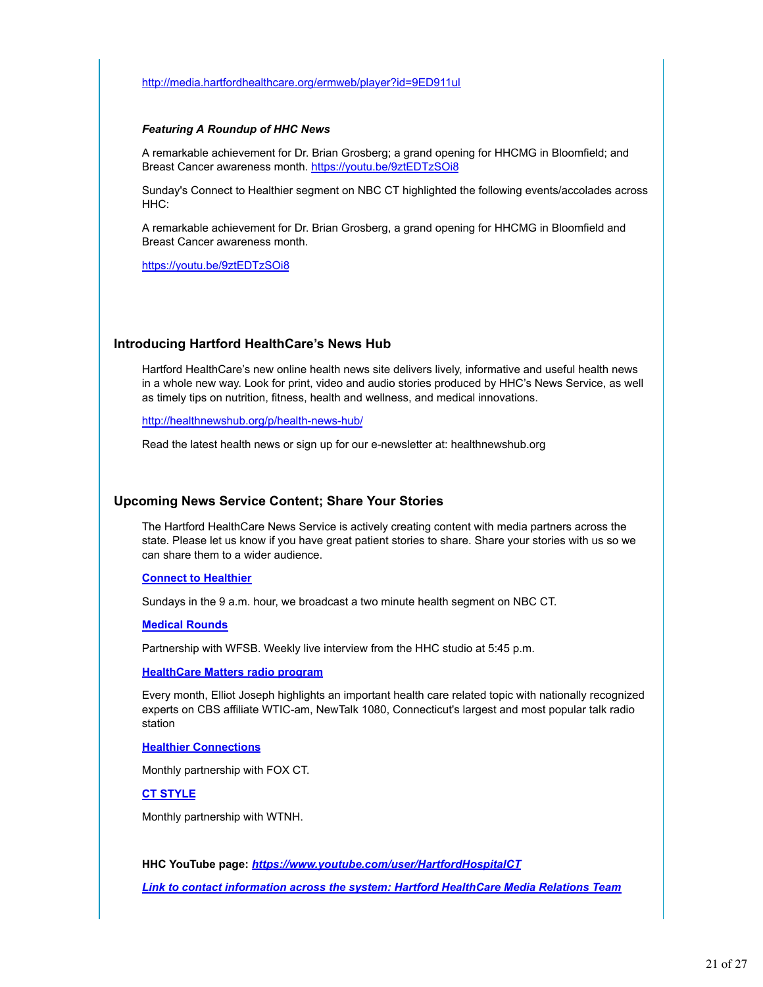#### http://media.hartfordhealthcare.org/ermweb/player?id=9ED911ul

#### *Featuring A Roundup of HHC News*

A remarkable achievement for Dr. Brian Grosberg; a grand opening for HHCMG in Bloomfield; and Breast Cancer awareness month. https://youtu.be/9ztEDTzSOi8

Sunday's Connect to Healthier segment on NBC CT highlighted the following events/accolades across HHC:

A remarkable achievement for Dr. Brian Grosberg, a grand opening for HHCMG in Bloomfield and Breast Cancer awareness month.

https://youtu.be/9ztEDTzSOi8

#### **Introducing Hartford HealthCare's News Hub**

Hartford HealthCare's new online health news site delivers lively, informative and useful health news in a whole new way. Look for print, video and audio stories produced by HHC's News Service, as well as timely tips on nutrition, fitness, health and wellness, and medical innovations.

http://healthnewshub.org/p/health-news-hub/

Read the latest health news or sign up for our e-newsletter at: healthnewshub.org

#### **Upcoming News Service Content; Share Your Stories**

The Hartford HealthCare News Service is actively creating content with media partners across the state. Please let us know if you have great patient stories to share. Share your stories with us so we can share them to a wider audience.

#### **Connect to Healthier**

Sundays in the 9 a.m. hour, we broadcast a two minute health segment on NBC CT.

#### **Medical Rounds**

Partnership with WFSB. Weekly live interview from the HHC studio at 5:45 p.m.

#### **HealthCare Matters radio program**

Every month, Elliot Joseph highlights an important health care related topic with nationally recognized experts on CBS affiliate WTIC-am, NewTalk 1080, Connecticut's largest and most popular talk radio station

#### **Healthier Connections**

Monthly partnership with FOX CT.

**CT STYLE**

Monthly partnership with WTNH.

**HHC YouTube page:** *https://www.youtube.com/user/HartfordHospitalCT Link to contact information across the system: Hartford HealthCare Media Relations Team*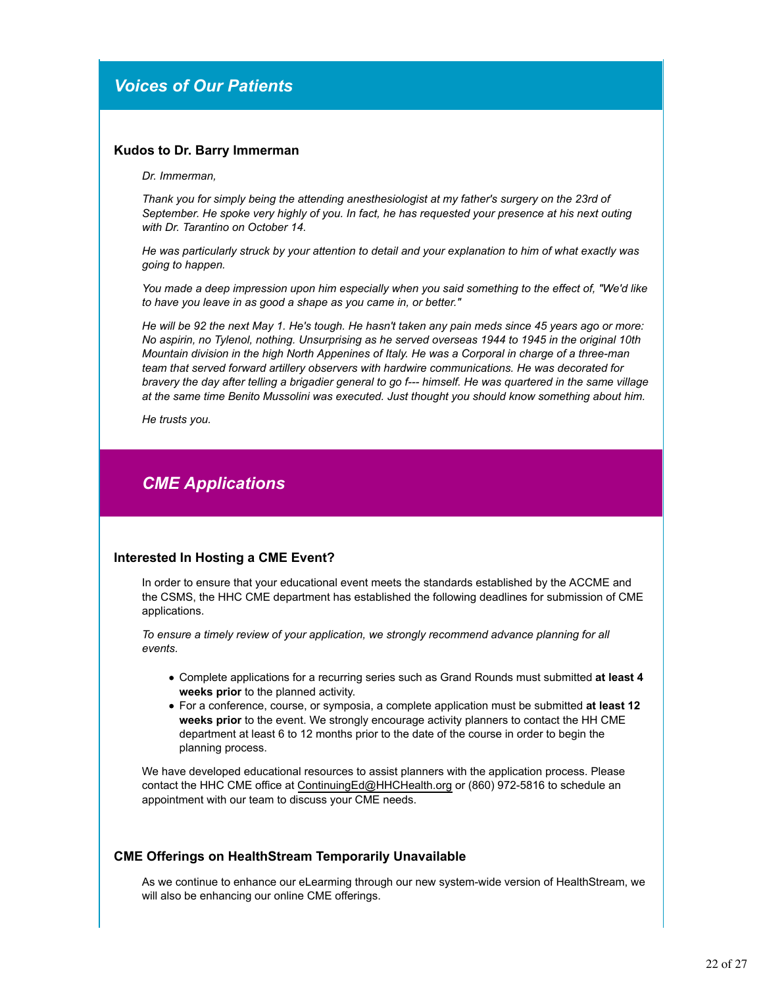# *Voices of Our Patients*

#### **Kudos to Dr. Barry Immerman**

*Dr. Immerman,*

*Thank you for simply being the attending anesthesiologist at my father's surgery on the 23rd of September. He spoke very highly of you. In fact, he has requested your presence at his next outing with Dr. Tarantino on October 14.*

*He was particularly struck by your attention to detail and your explanation to him of what exactly was going to happen.*

*You made a deep impression upon him especially when you said something to the effect of, "We'd like to have you leave in as good a shape as you came in, or better."*

*He will be 92 the next May 1. He's tough. He hasn't taken any pain meds since 45 years ago or more: No aspirin, no Tylenol, nothing. Unsurprising as he served overseas 1944 to 1945 in the original 10th Mountain division in the high North Appenines of Italy. He was a Corporal in charge of a three-man team that served forward artillery observers with hardwire communications. He was decorated for bravery the day after telling a brigadier general to go f--- himself. He was quartered in the same village at the same time Benito Mussolini was executed. Just thought you should know something about him.*

*He trusts you.*

# *CME Applications*

#### **Interested In Hosting a CME Event?**

In order to ensure that your educational event meets the standards established by the ACCME and the CSMS, the HHC CME department has established the following deadlines for submission of CME applications.

*To ensure a timely review of your application, we strongly recommend advance planning for all events.* 

- Complete applications for a recurring series such as Grand Rounds must submitted **at least 4 weeks prior** to the planned activity.
- For a conference, course, or symposia, a complete application must be submitted **at least 12 weeks prior** to the event. We strongly encourage activity planners to contact the HH CME department at least 6 to 12 months prior to the date of the course in order to begin the planning process.

We have developed educational resources to assist planners with the application process. Please contact the HHC CME office at ContinuingEd@HHCHealth.org or (860) 972-5816 to schedule an appointment with our team to discuss your CME needs.

#### **CME Offerings on HealthStream Temporarily Unavailable**

As we continue to enhance our eLearming through our new system-wide version of HealthStream, we will also be enhancing our online CME offerings.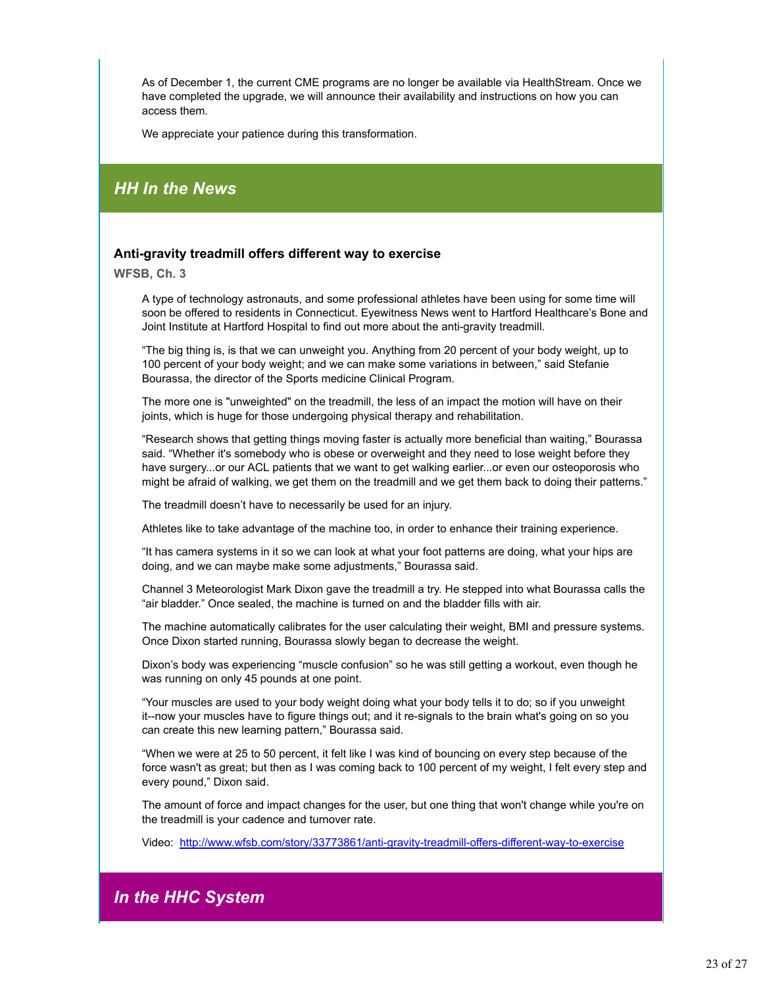As of December 1, the current CME programs are no longer be available via HealthStream. Once we have completed the upgrade, we will announce their availability and instructions on how you can access them.

We appreciate your patience during this transformation.

# *HH In the News*

#### **Anti-gravity treadmill offers different way to exercise**

**WFSB, Ch. 3**

A type of technology astronauts, and some professional athletes have been using for some time will soon be offered to residents in Connecticut. Eyewitness News went to Hartford Healthcare's Bone and Joint Institute at Hartford Hospital to find out more about the anti-gravity treadmill.

"The big thing is, is that we can unweight you. Anything from 20 percent of your body weight, up to 100 percent of your body weight; and we can make some variations in between," said Stefanie Bourassa, the director of the Sports medicine Clinical Program.

The more one is "unweighted" on the treadmill, the less of an impact the motion will have on their joints, which is huge for those undergoing physical therapy and rehabilitation.

"Research shows that getting things moving faster is actually more beneficial than waiting," Bourassa said. "Whether it's somebody who is obese or overweight and they need to lose weight before they have surgery...or our ACL patients that we want to get walking earlier...or even our osteoporosis who might be afraid of walking, we get them on the treadmill and we get them back to doing their patterns."

The treadmill doesn't have to necessarily be used for an injury.

Athletes like to take advantage of the machine too, in order to enhance their training experience.

"It has camera systems in it so we can look at what your foot patterns are doing, what your hips are doing, and we can maybe make some adjustments," Bourassa said.

Channel 3 Meteorologist Mark Dixon gave the treadmill a try. He stepped into what Bourassa calls the "air bladder." Once sealed, the machine is turned on and the bladder fills with air.

The machine automatically calibrates for the user calculating their weight, BMI and pressure systems. Once Dixon started running, Bourassa slowly began to decrease the weight.

Dixon's body was experiencing "muscle confusion" so he was still getting a workout, even though he was running on only 45 pounds at one point.

"Your muscles are used to your body weight doing what your body tells it to do; so if you unweight it--now your muscles have to figure things out; and it re-signals to the brain what's going on so you can create this new learning pattern," Bourassa said.

"When we were at 25 to 50 percent, it felt like I was kind of bouncing on every step because of the force wasn't as great; but then as I was coming back to 100 percent of my weight, I felt every step and every pound," Dixon said.

The amount of force and impact changes for the user, but one thing that won't change while you're on the treadmill is your cadence and turnover rate.

Video: http://www.wfsb.com/story/33773861/anti-gravity-treadmill-offers-different-way-to-exercise

# *In the HHC System*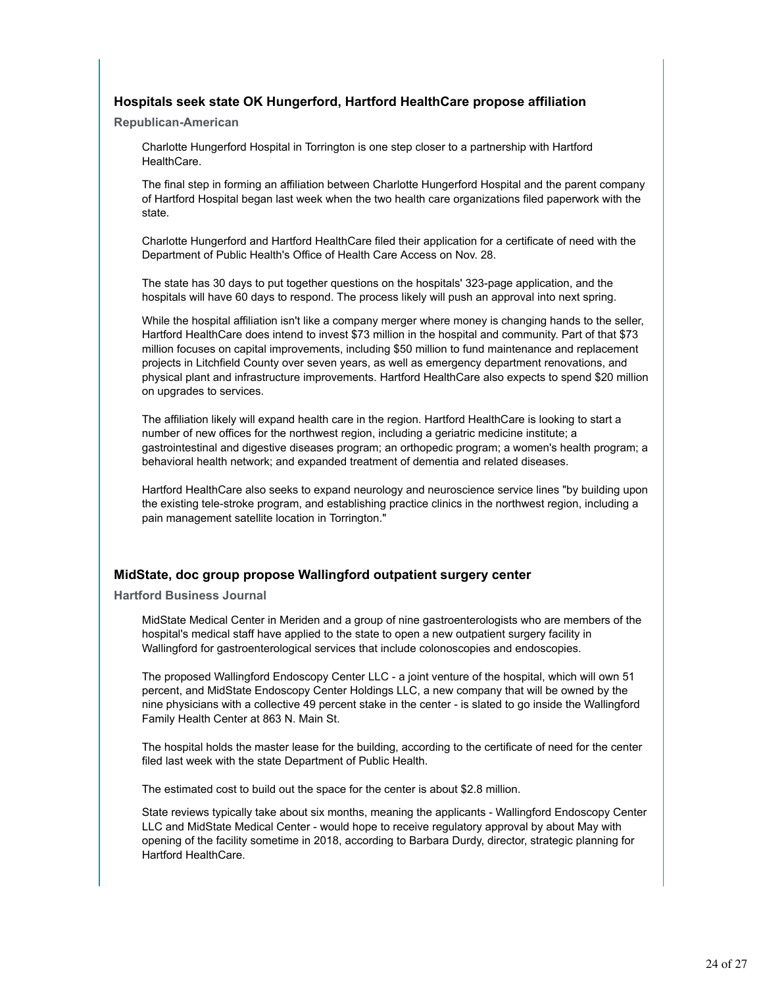#### **Hospitals seek state OK Hungerford, Hartford HealthCare propose affiliation**

**Republican-American**

Charlotte Hungerford Hospital in Torrington is one step closer to a partnership with Hartford HealthCare.

The final step in forming an affiliation between Charlotte Hungerford Hospital and the parent company of Hartford Hospital began last week when the two health care organizations filed paperwork with the state.

Charlotte Hungerford and Hartford HealthCare filed their application for a certificate of need with the Department of Public Health's Office of Health Care Access on Nov. 28.

The state has 30 days to put together questions on the hospitals' 323-page application, and the hospitals will have 60 days to respond. The process likely will push an approval into next spring.

While the hospital affiliation isn't like a company merger where money is changing hands to the seller, Hartford HealthCare does intend to invest \$73 million in the hospital and community. Part of that \$73 million focuses on capital improvements, including \$50 million to fund maintenance and replacement projects in Litchfield County over seven years, as well as emergency department renovations, and physical plant and infrastructure improvements. Hartford HealthCare also expects to spend \$20 million on upgrades to services.

The affiliation likely will expand health care in the region. Hartford HealthCare is looking to start a number of new offices for the northwest region, including a geriatric medicine institute; a gastrointestinal and digestive diseases program; an orthopedic program; a women's health program; a behavioral health network; and expanded treatment of dementia and related diseases.

Hartford HealthCare also seeks to expand neurology and neuroscience service lines "by building upon the existing tele-stroke program, and establishing practice clinics in the northwest region, including a pain management satellite location in Torrington."

#### **MidState, doc group propose Wallingford outpatient surgery center**

**Hartford Business Journal**

MidState Medical Center in Meriden and a group of nine gastroenterologists who are members of the hospital's medical staff have applied to the state to open a new outpatient surgery facility in Wallingford for gastroenterological services that include colonoscopies and endoscopies.

The proposed Wallingford Endoscopy Center LLC - a joint venture of the hospital, which will own 51 percent, and MidState Endoscopy Center Holdings LLC, a new company that will be owned by the nine physicians with a collective 49 percent stake in the center - is slated to go inside the Wallingford Family Health Center at 863 N. Main St.

The hospital holds the master lease for the building, according to the certificate of need for the center filed last week with the state Department of Public Health.

The estimated cost to build out the space for the center is about \$2.8 million.

State reviews typically take about six months, meaning the applicants - Wallingford Endoscopy Center LLC and MidState Medical Center - would hope to receive regulatory approval by about May with opening of the facility sometime in 2018, according to Barbara Durdy, director, strategic planning for Hartford HealthCare.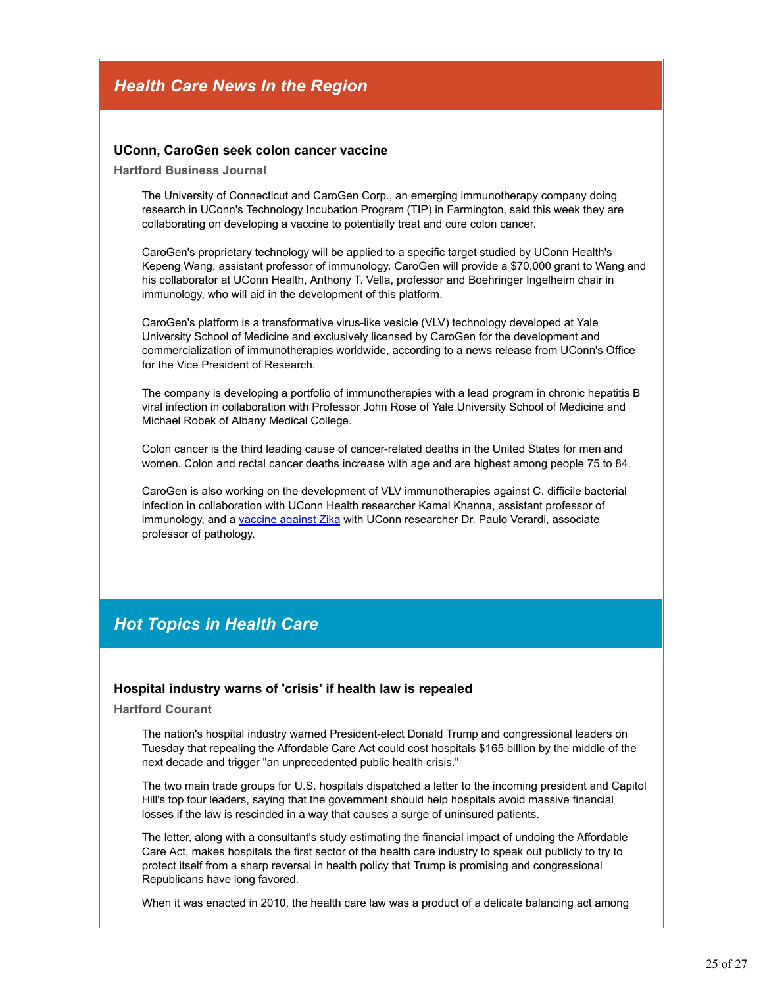# *Health Care News In the Region*

#### **UConn, CaroGen seek colon cancer vaccine**

**Hartford Business Journal**

The University of Connecticut and CaroGen Corp., an emerging immunotherapy company doing research in UConn's Technology Incubation Program (TIP) in Farmington, said this week they are collaborating on developing a vaccine to potentially treat and cure colon cancer.

CaroGen's proprietary technology will be applied to a specific target studied by UConn Health's Kepeng Wang, assistant professor of immunology. CaroGen will provide a \$70,000 grant to Wang and his collaborator at UConn Health, Anthony T. Vella, professor and Boehringer Ingelheim chair in immunology, who will aid in the development of this platform.

CaroGen's platform is a transformative virus-like vesicle (VLV) technology developed at Yale University School of Medicine and exclusively licensed by CaroGen for the development and commercialization of immunotherapies worldwide, according to a news release from UConn's Office for the Vice President of Research.

The company is developing a portfolio of immunotherapies with a lead program in chronic hepatitis B viral infection in collaboration with Professor John Rose of Yale University School of Medicine and Michael Robek of Albany Medical College.

Colon cancer is the third leading cause of cancer-related deaths in the United States for men and women. Colon and rectal cancer deaths increase with age and are highest among people 75 to 84.

CaroGen is also working on the development of VLV immunotherapies against C. difficile bacterial infection in collaboration with UConn Health researcher Kamal Khanna, assistant professor of immunology, and a vaccine against Zika with UConn researcher Dr. Paulo Verardi, associate professor of pathology.

# *Hot Topics in Health Care*

#### **Hospital industry warns of 'crisis' if health law is repealed**

**Hartford Courant**

The nation's hospital industry warned President-elect Donald Trump and congressional leaders on Tuesday that repealing the Affordable Care Act could cost hospitals \$165 billion by the middle of the next decade and trigger "an unprecedented public health crisis."

The two main trade groups for U.S. hospitals dispatched a letter to the incoming president and Capitol Hill's top four leaders, saying that the government should help hospitals avoid massive financial losses if the law is rescinded in a way that causes a surge of uninsured patients.

The letter, along with a consultant's study estimating the financial impact of undoing the Affordable Care Act, makes hospitals the first sector of the health care industry to speak out publicly to try to protect itself from a sharp reversal in health policy that Trump is promising and congressional Republicans have long favored.

When it was enacted in 2010, the health care law was a product of a delicate balancing act among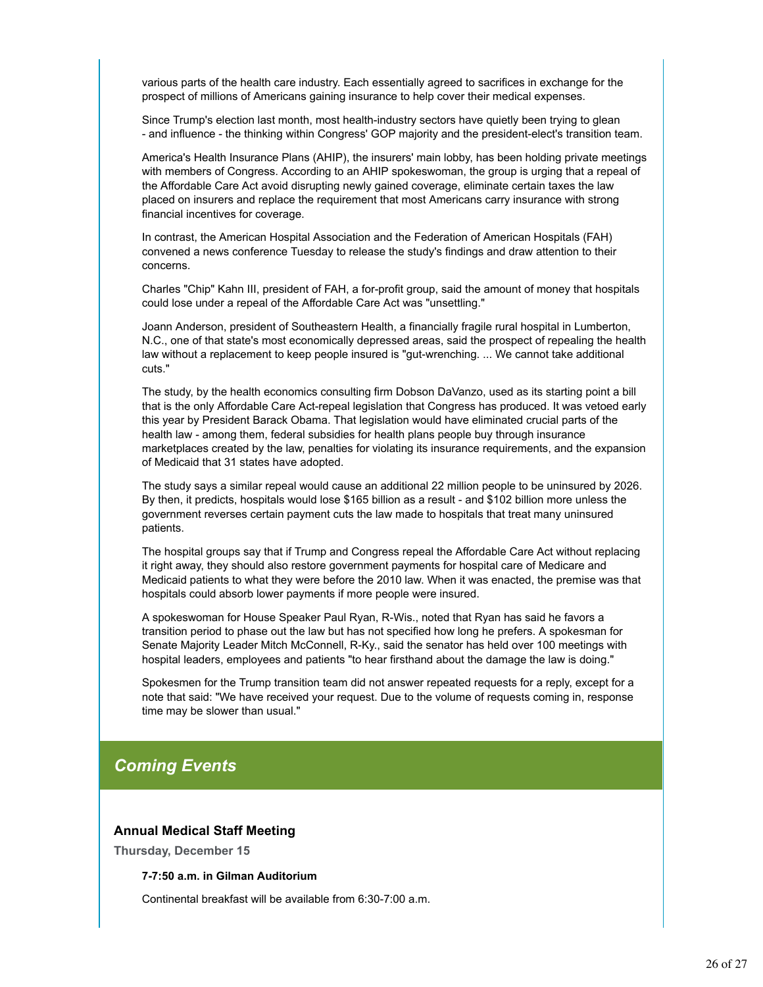various parts of the health care industry. Each essentially agreed to sacrifices in exchange for the prospect of millions of Americans gaining insurance to help cover their medical expenses.

Since Trump's election last month, most health-industry sectors have quietly been trying to glean - and influence - the thinking within Congress' GOP majority and the president-elect's transition team.

America's Health Insurance Plans (AHIP), the insurers' main lobby, has been holding private meetings with members of Congress. According to an AHIP spokeswoman, the group is urging that a repeal of the Affordable Care Act avoid disrupting newly gained coverage, eliminate certain taxes the law placed on insurers and replace the requirement that most Americans carry insurance with strong financial incentives for coverage.

In contrast, the American Hospital Association and the Federation of American Hospitals (FAH) convened a news conference Tuesday to release the study's findings and draw attention to their concerns.

Charles "Chip" Kahn III, president of FAH, a for-profit group, said the amount of money that hospitals could lose under a repeal of the Affordable Care Act was "unsettling."

Joann Anderson, president of Southeastern Health, a financially fragile rural hospital in Lumberton, N.C., one of that state's most economically depressed areas, said the prospect of repealing the health law without a replacement to keep people insured is "gut-wrenching. ... We cannot take additional cuts."

The study, by the health economics consulting firm Dobson DaVanzo, used as its starting point a bill that is the only Affordable Care Act-repeal legislation that Congress has produced. It was vetoed early this year by President Barack Obama. That legislation would have eliminated crucial parts of the health law - among them, federal subsidies for health plans people buy through insurance marketplaces created by the law, penalties for violating its insurance requirements, and the expansion of Medicaid that 31 states have adopted.

The study says a similar repeal would cause an additional 22 million people to be uninsured by 2026. By then, it predicts, hospitals would lose \$165 billion as a result - and \$102 billion more unless the government reverses certain payment cuts the law made to hospitals that treat many uninsured patients.

The hospital groups say that if Trump and Congress repeal the Affordable Care Act without replacing it right away, they should also restore government payments for hospital care of Medicare and Medicaid patients to what they were before the 2010 law. When it was enacted, the premise was that hospitals could absorb lower payments if more people were insured.

A spokeswoman for House Speaker Paul Ryan, R-Wis., noted that Ryan has said he favors a transition period to phase out the law but has not specified how long he prefers. A spokesman for Senate Majority Leader Mitch McConnell, R-Ky., said the senator has held over 100 meetings with hospital leaders, employees and patients "to hear firsthand about the damage the law is doing."

Spokesmen for the Trump transition team did not answer repeated requests for a reply, except for a note that said: "We have received your request. Due to the volume of requests coming in, response time may be slower than usual."

# *Coming Events*

#### **Annual Medical Staff Meeting**

**Thursday, December 15**

**7-7:50 a.m. in Gilman Auditorium**

Continental breakfast will be available from 6:30-7:00 a.m.